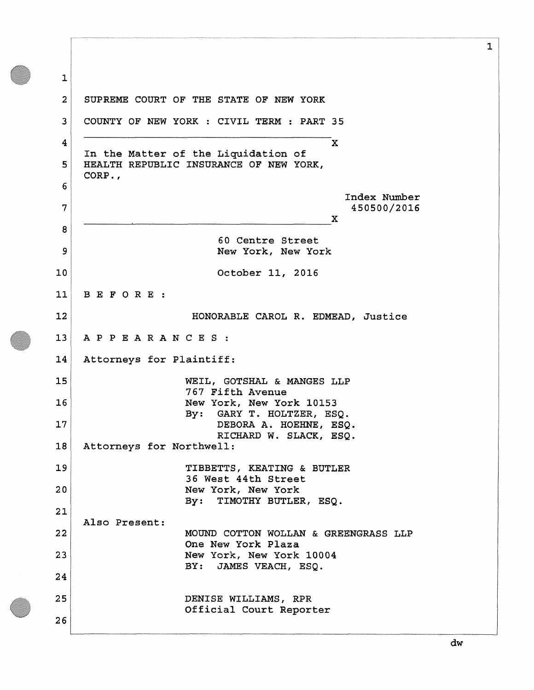**1 2 3 4 5 6 7 8 9 10 11 12 13 14 15 16 17 18 19 20 21 22 23 24 25 26 SUPREME COURT OF THE STATE OF NEW YORK COUNTY OF NEW YORK : CIVIL TERM : PART 35 X In the Matter of the Liquidation of HEALTH REPUBLIC INSURANCE OF NEW YORK, CORP., Index Number 450500/2016 X 60 Centre Street New York, New York October 11, 2016 BEFORE : HONORABLE CAROL R. EDMEAD, Justice APPEARANCES : Attorneys for Plaintiff: WEIL, GOTSHAL & MANGES LLP 767 Fifth Avenue New York, New York 10153 By: GARY T. HOLTZER, ESQ. DEBORA A. HOEHNE, ESQ. RICHARD W. SLACK, ESQ. Attorneys for Northwell: TIBBETTS, KEATING & BUTLER 36 West 44th Street New York, New York By: TIMOTHY BUTLER, ESQ. Also Present: MOUND COTTON WOLLAN & GREENGRASS LLP One New York Plaza New York, New York 10004 BY: JAMES VEACH, ESQ. DENISE WILLIAMS, RPR Official Court Reporter**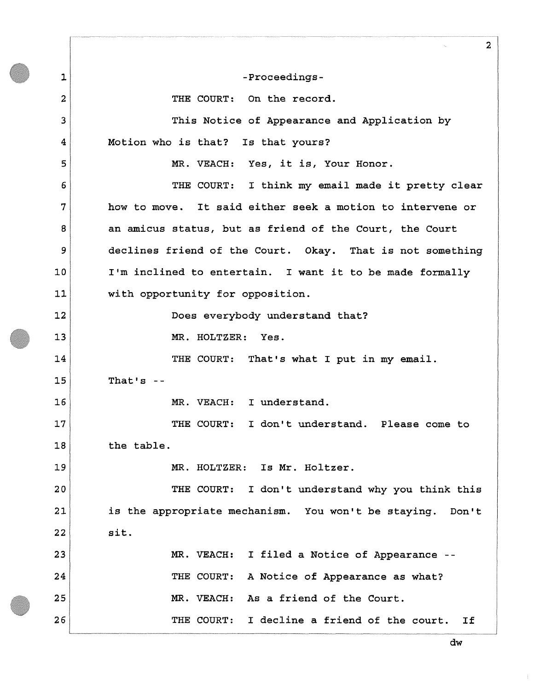**1 2 3 4 5 6 7 8 9 10 11 12 13 14 15 16 17 18 19 20 21 22 23 24 25 26 2 -Proceedings-THE COURT: On the record. This Notice of Appearance and Application by-Motion who is that? Is that yours? MR. VEACH: Yes, it is, Your Honor. THE COURT: I think my email made it pretty clear how to move. It said either seek a motion to intervene or an amicus status, but as friend of the Court, the Court declines friend of the Court. Okay. That is not something I'm inclined to entertain. I want it to be made formally with opportunity for opposition. Does everybody understand that? MR. HOLTZER: Yes. THE COURT: That's what I put in my email. That1s -- MR. VEACH: I understand. THE COURT: I don't understand. Please come to the table. MR. HOLTZER: Is Mr. Holtzer. THE COURT: I don't understand why you think this is the appropriate mechanism. You won't be staying. Don't sit. MR. VEACH: I filed a Notice of Appearance - THE COURT: A Notice of Appearance as what? MR. VEACH: As a friend of the Court. THE COURT: I decline a friend of the court. If**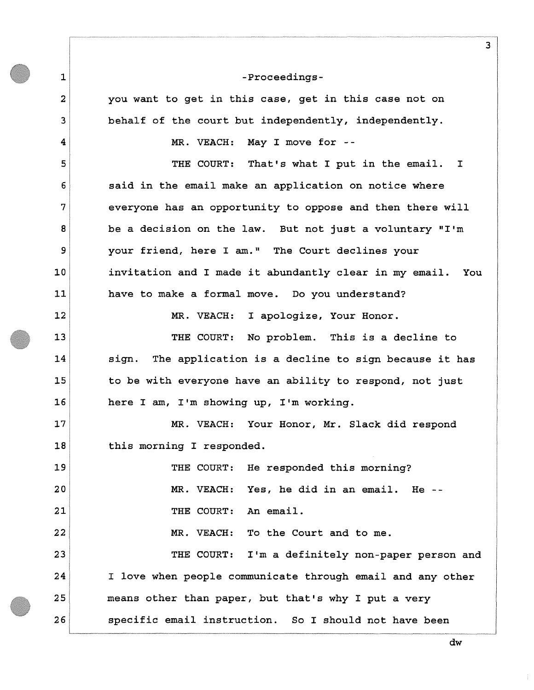**you want to get in this case, get in this case not on behalf of the court but independently, independently.** 

**MR. VEACH: May I move for -**

**1** 

**2** 

**3** 

**4** 

**5** 

**6** 

**7** 

**8** 

**9** 

**10** 

**11** 

**12** 

**13** 

**14** 

**15** 

**16** 

**17** 

**18** 

**THE COURT: That's what I put in the email. I said in the email make an application on notice where everyone has an opportunity to oppose and then there will be a decision on the law. But not just a voluntary "I'm your friend, here I am." The Court declines your invitation and I made it abundantly clear in my email. You have to make a formal move. Do you understand?** 

**MR. VEACH: I apologize, Your Honor.** 

**THE COURT: No problem. This is a decline to sign. The application is a decline to sign because it has to be with everyone have an ability to respond, not just here I am, I'm showing up, I'm working.** 

**MR. VEACH: Your Honor, Mr. Slack did respond this morning I responded.** 

**19 20 21 22 23 24 25 26 THE COURT: He responded this morning? MR. VEACH: Yes, he did in an email. He - THE COURT: An email. MR. VEACH: To the Court and to me. THE COURT: I'm a definitely non-paper person and I love when people communicate through email and any other means other than paper, but that's why I put a very specific email instruction. So I should not have been** 

**dw**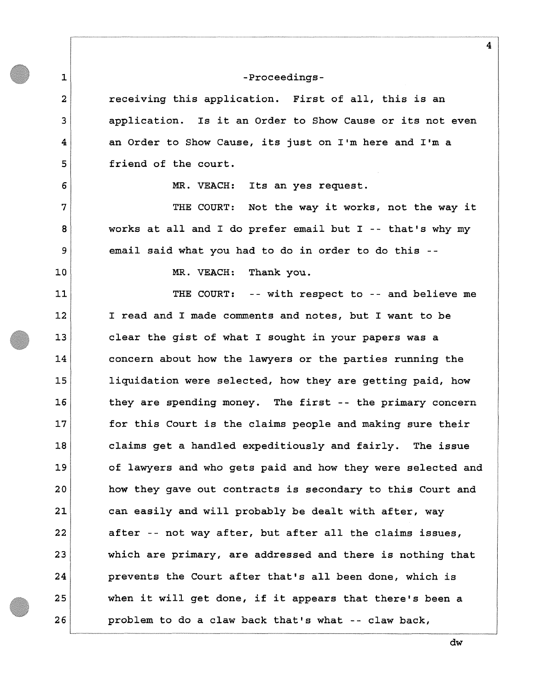**1** 

**2** 

**3** 

**4** 

**5** 

**6** 

**7** 

**8** 

**9** 

**10** 

**11** 

**12** 

**13** 

**14** 

**15** 

**16** 

**17** 

**18** 

**19** 

**20** 

**21** 

**22** 

**23** 

**24** 

**25** 

**26** 

**receiving this application. First of all, this is an application. Is it an Order to Show Cause or its not even an Order to Show Cause, its just on I'm here and I'm a friend of the court.** 

**MR. VEACH: Its an yes request.** 

**THE COURT: Not the way it works, not the way it works at all and I do prefer email but I -- that's why my email said what you had to do in order to do this -**

**MR. VEACH: Thank you.** 

**THE COURT: -- with respect to -- and believe me I read and I made comments and notes, but I want to be clear the gist of what I sought in your papers was a concern about how the lawyers or the parties running the liquidation were selected, how they are getting paid, how they are spending money. The first -- the primary concern for this Court is the claims people and making sure their claims get a handled expeditiously and fairly. The issue of lawyers and who gets paid and how they were selected and how they gave out contracts is secondary to this Court and can easily and will probably be dealt with after, way after -- not way after, but after all the claims issues, which are primary, are addressed and there is nothing that prevents the Court after that's all been done, which is when it will get done, if it appears that there's been a problem to do a claw back that's what -- claw back,** 

**dw**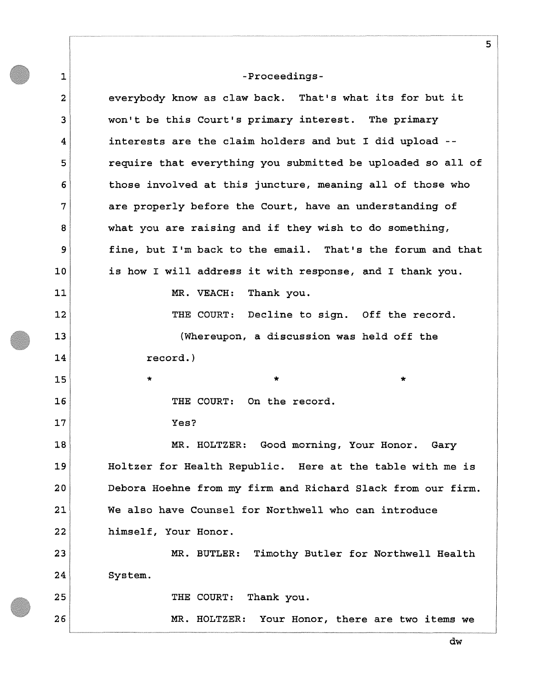**1 2 3 4 5 6 7 8 9 10 11 12 13 14 15 16 17 18 19 20 21 22 23 24 25 26 -Proceedingseverybody know as claw back. That's what its for but it won't be this Court's primary interest. The primary interests are the claim holders and but I did upload require that everything you submitted be uploaded so all of those involved at this juncture, meaning all of those who are properly before the Court, have an understanding of what you are raising and if they wish to do something, fine, but I'm back to the email. That's the forum and that is how I will address it with response, and I thank you. MR. VEACH: Thank you. THE COURT: Decline to sign. Off the record. (Whereupon, a discussion was held off the record.) \* \* \* THE COURT: On the record. Yes? MR. HOLTZER: Good morning, Your Honor. Gary Holtzer for Health Republic. Here at the table with me is Debora Hoehne from my firm and Richard Slack from our firm. We also have Counsel for Northwell who can introduce himself, Your Honor. MR. BUTLER: Timothy Butler for Northwell Health System. THE COURT: Thank you. MR. HOLTZER: Your Honor, there are two items we** 

**dw**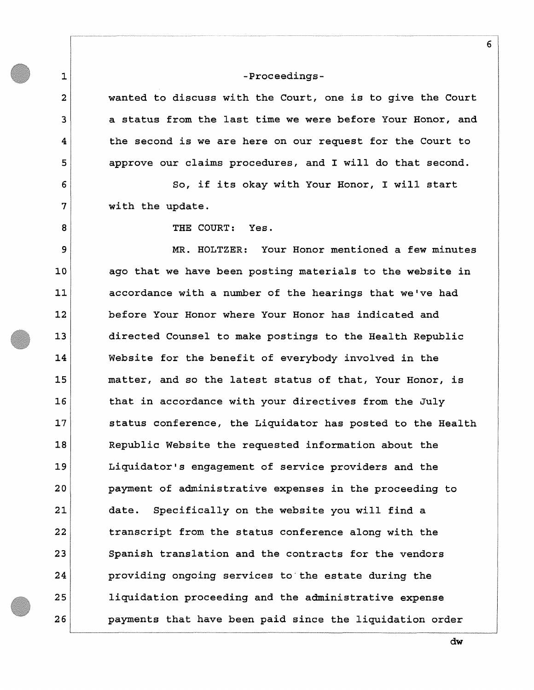**wanted to discuss with the Court, one is to give the Court a status from the last time we were before Your Honor, and the second is we are here on our request for the Court to approve our claims procedures, and I will do that second.** 

**So, if its okay with Your Honor, I will start with the update.** 

**THE COURT: Yes.** 

**1** 

**2** 

**3** 

**4** 

**5** 

**6** 

**7** 

**8** 

**9** 

**10** 

**11** 

**12** 

**13** 

**14** 

**15** 

**16** 

**17** 

**18** 

**19** 

**20** 

**21** 

**22** 

**23** 

**24** 

**25** 

**26** 

**MR. HOLTZER: Your Honor mentioned a few minutes ago that we have been posting materials to the website in accordance with a number of the hearings that we've had before Your Honor where Your Honor has indicated and directed Counsel to make postings to the Health Republic Website for the benefit of everybody involved in the matter, and so the latest status of that, Your Honor, is that in accordance with your directives from the July status conference, the Liquidator has posted to the Health Republic Website the requested information about the Liquidator's engagement of service providers and the payment of administrative expenses in the proceeding to date. Specifically on the website you will find a transcript from the status conference along with the Spanish translation and the contracts for the vendors providing ongoing services to the estate during the liquidation proceeding and the administrative expense payments that have been paid since the liquidation order**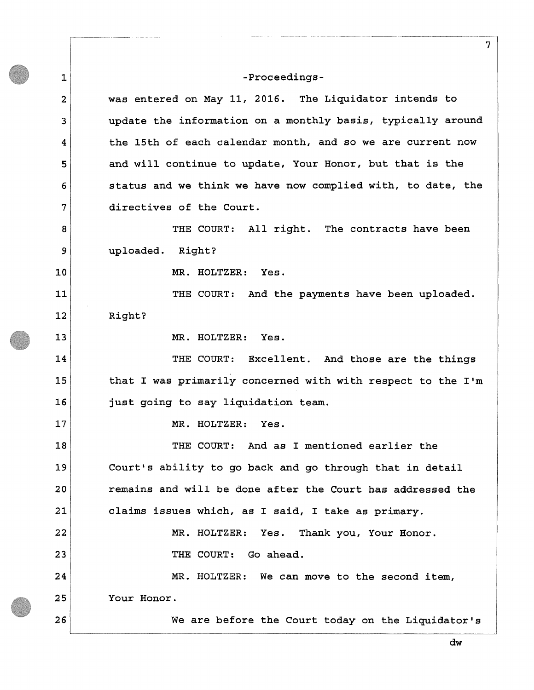**1** 

**15** 

**16** 

**17** 

**26** 

**2 3 4 5 6 7 8 9 10 11 12 13 14 was entered on May 11, 2016. The Liquidator intends to update the information on a monthly basis, typically around the 15th of each calendar month, and so we are current now and will continue to update, Your Honor, but that is the status and we think we have now complied with, to date, the directives of the Court. THE COURT: All right. The contracts have been uploaded. Right? MR. HOLTZER: Yes. THE COURT: And the payments have been uploaded. Right? MR. HOLTZER: Yes.** 

**THE COURT: Excellent. And those are the things that I was primarily concerned with with respect to the I'm just going to say liquidation team.** 

**MR. HOLTZER: Yes.** 

**18 19 20 21 22 23 24 25 THE COURT: And as I mentioned earlier the Court's ability to go back and go through that in detail remains and will be done after the Court has addressed the claims issues which, as I said, I take as primary. MR. HOLTZER: Yes. Thank you, Your Honor. THE COURT: Go ahead. MR. HOLTZER: We can move to the second item, Your Honor.** 

**We are before the Court today on the Liquidator's**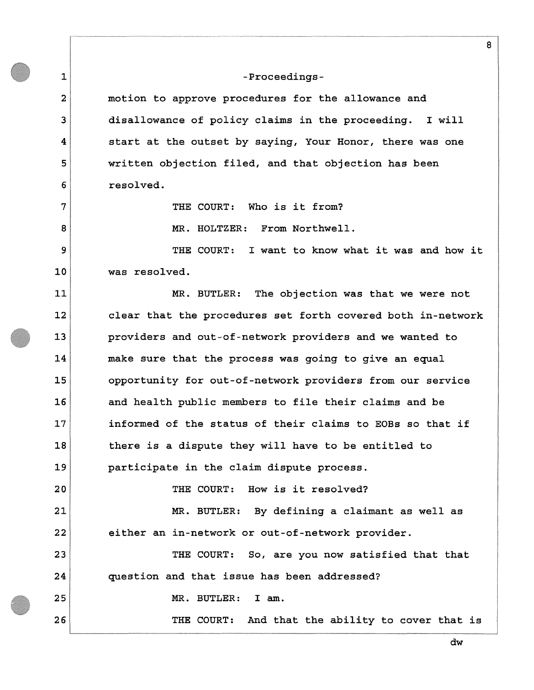**1** 

**2** 

**3** 

**4** 

**5** 

**6** 

**7** 

**8** 

**9** 

**10** 

**11** 

**12** 

**13** 

**14** 

**15** 

**16** 

**17** 

**18** 

**19** 

**20** 

**21** 

**22** 

**23** 

**24** 

**25** 

**26** 

**motion to approve procedures for the allowance and disallowance of policy claims in the proceeding. I will start at the outset by saying, Your Honor, there was one written objection filed, and that objection has been resolved.** 

**THE COURT: Who is it from?** 

**MR. HOLTZER: From Northwell.** 

**THE COURT: I want to know what it was and how it was resolved.** 

**MR. BUTLER: The objection was that we were not clear that the procedures set forth covered both in-network providers and out-of-network providers and we wanted to make sure that the process was going to give an equal opportunity for out-of-network providers from our service and health public members to file their claims and be informed of the status of their claims to EOBs so that if there is a dispute they will have to be entitled to participate in the claim dispute process.** 

**THE COURT: How is it resolved?** 

**MR. BUTLER: By defining a claimant as well as either an in-network or out-of-network provider.** 

**THE COURT: So, are you now satisfied that that question and that issue has been addressed?** 

**MR. BUTLER: I am.** 

**THE COURT: And that the ability to cover that is** 

**8**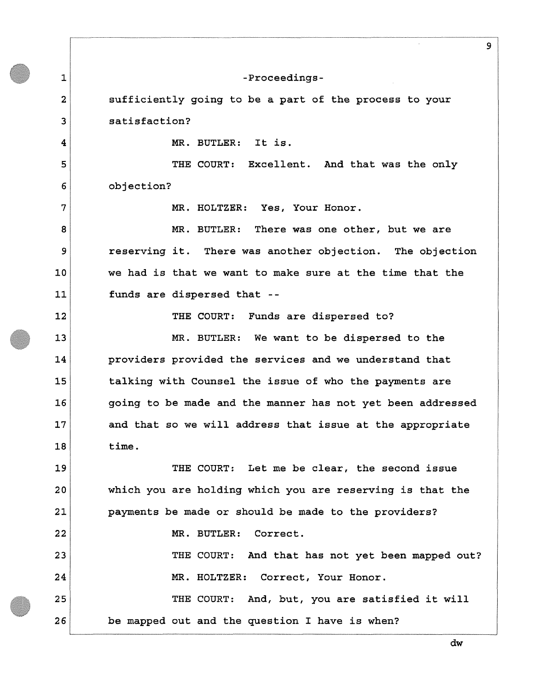**1 2 3 4 5 6 7 8 9 10 11 12 13 14 15 16 17 18 19 20 21 22 23 24 25 26 9 -Proceedingssufficiently going to be a part of the process to your satisfaction? MR. BUTLER: It is. THE COURT: Excellent. And that was the only objection? MR. HOLTZER: Yes, Your Honor. MR. BUTLER: There was one other, but we are reserving it. There was another objection. The objection we had is that we want to make sure at the time that the funds are dispersed that - THE COURT: Funds are dispersed to? MR. BUTLER: We want to be dispersed to the providers provided the services and we understand that talking with Counsel the issue of who the payments are going to be made and the manner has not yet been addressed and that so we will address that issue at the appropriate time. THE COURT: Let me be clear, the second issue which you are holding which you are reserving is that the payments be made or should be made to the providers? MR. BUTLER: Correct. THE COURT: And that has not yet been mapped out? MR. HOLTZER: Correct, Your Honor. THE COURT: And, but, you are satisfied it will be mapped out and the question I have is when?**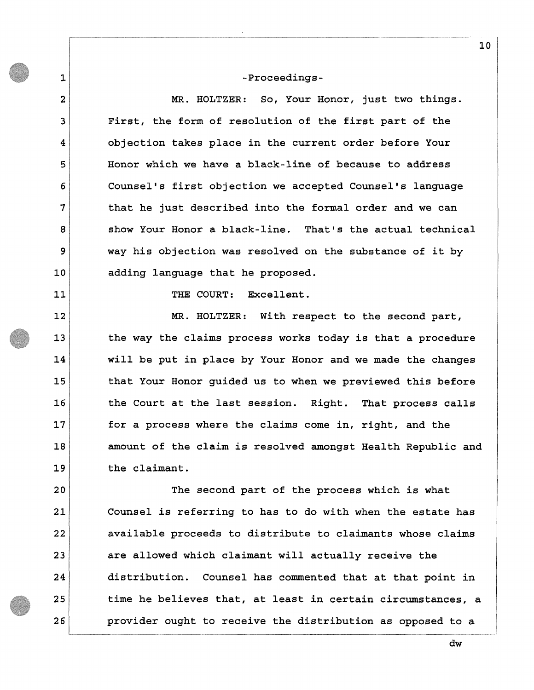**1** 

**2** 

**3** 

**4** 

**5** 

**6** 

**7** 

**8** 

**9** 

**10** 

**11** 

**12** 

**13** 

**14** 

**15** 

**16** 

**17** 

**18** 

**19** 

**20** 

**21** 

**22** 

**23** 

**24** 

**25** 

**26** 

**MR. HOLTZER: So, Your Honor, just two things. First, the form of resolution of the first part of the objection takes place in the current order before Your Honor which we have a black-line of because to address Counsel's first objection we accepted Counsel's language that he just described into the formal order and we can show Your Honor a black-line. That's the actual technical way his objection was resolved on the substance of it by adding language that he proposed.** 

**THE COURT: Excellent.** 

**MR. HOLTZER: With respect to the second part, the way the claims process works today is that a procedure will be put in place by Your Honor and we made the changes that Your Honor guided us to when we previewed this before the Court at the last session. Right. That process calls for a process where the claims come in, right, and the amount of the claim is resolved amongst Health Republic and the claimant.** 

**The second part of the process which is what Counsel is referring to has to do with when the estate has available proceeds to distribute to claimants whose claims are allowed which claimant will actually receive the distribution. Counsel has commented that at that point in time he believes that, at least in certain circumstances, a provider ought to receive the distribution as opposed to a** 

**10**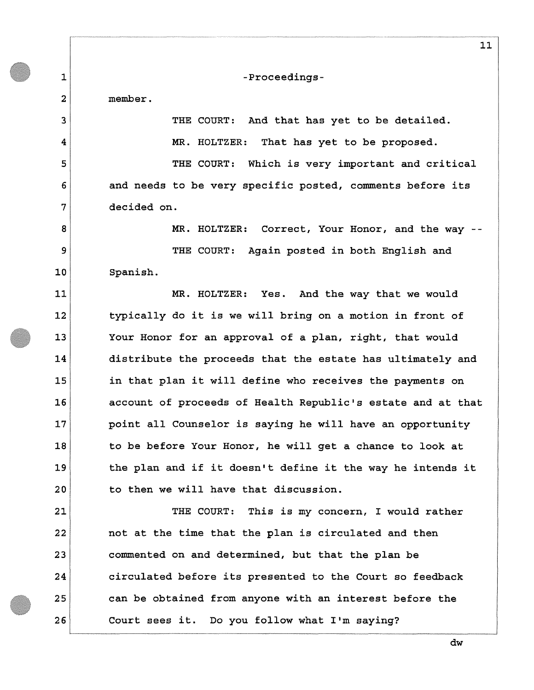**member.** 

**1** 

**2** 

**3** 

**4** 

**5** 

**6** 

**7** 

**8** 

**9** 

**10** 

**11** 

**12** 

**13** 

**14** 

**15** 

**16** 

**17** 

**18** 

**19** 

**20** 

**21** 

**22** 

**23** 

**24** 

**25** 

**26** 

**-Proceedings-**

**THE COURT: And that has yet to be detailed. MR. HOLTZER: That has yet to be proposed.** 

**THE COURT: Which is very important and critical and needs to be very specific posted, comments before its decided on.** 

**MR. HOLTZER: Correct, Your Honor, and the way -**

**THE COURT: Again posted in both English and Spanish.** 

**MR. HOLTZER: Yes. And the way that we would typically do it is we will bring on a motion in front of Your Honor for an approval of a plan, right, that would distribute the proceeds that the estate has ultimately and in that plan it will define who receives the payments on account of proceeds of Health Republic's estate and at that point all Counselor is saying he will have an opportunity to be before Your Honor, he will get a chance to look at the plan and if it doesn't define it the way he intends it to then we will have that discussion.** 

**THE COURT: This is my concern, I would rather not at the time that the plan is circulated and then commented on and determined, but that the plan be circulated before its presented to the Court so feedback can be obtained from anyone with an interest before the Court sees it. Do you follow what I'm saying?**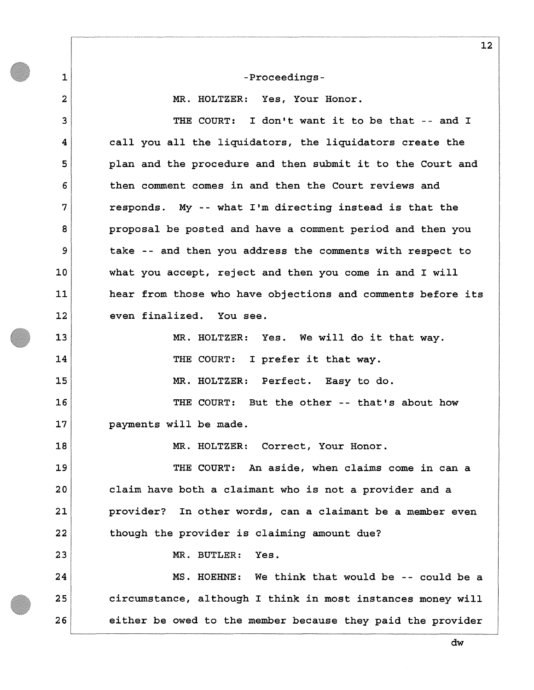**1** 

**2** 

### **-Proceedings-**

**MR. HOLTZER: Yes, Your Honor.** 

**3 4 5 6 7 8 9 10 11 12 13 14 15 16 17 18 19 20 21 22 23 24 25 26 THE COURT: I don't want it to be that -- and I call you all the liquidators, the liquidators create the plan and the procedure and then submit it to the Court and then comment comes in and then the Court reviews and responds. My -- what I'm directing instead is that the proposal be posted and have a comment period and then you take -- and then you address the comments with respect to what you accept, reject and then you come in and I will hear from those who have objections and comments before its even finalized. You see. MR. HOLTZER: Yes. We will do it that way. THE COURT: I prefer it that way. MR. HOLTZER: Perfect. Easy to do. THE COURT: But the other -- that's about how payments will be made. MR. HOLTZER: Correct, Your Honor. THE COURT: An aside, when claims come in can a claim have both a claimant who is not a provider and a provider? In other words, can a claimant be a member even though the provider is claiming amount due? MR. BUTLER: Yes. MS. HOEHNE: We think that would be -- could be a circumstance, although I think in most instances money will either be owed to the member because they paid the provider**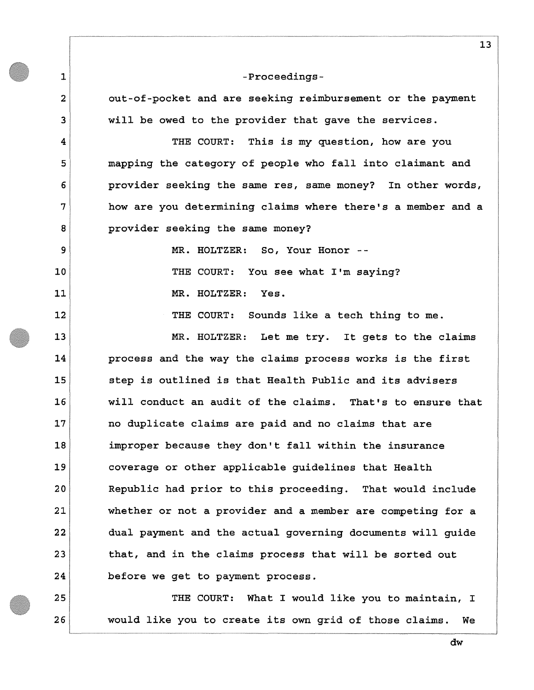**1 2 3 4 5 6 7 8 9 10 11 12 13 14 15 16 17 18 19 20 21 22 23 24 25 -Proceedingsout-of-pocket and are seeking reimbursement or the payment will be owed to the provider that gave the services. THE COURT: This is my question, how are you mapping the category of people who fall into claimant and provider seeking the same res, same money? In other words, how are you determining claims where there's a member and a provider seeking the same money? MR. HOLTZER: So, Your Honor - THE COURT: You see what I'm saying? MR. HOLTZER: Yes. THE COURT: Sounds like a tech thing to me. MR. HOLTZER: Let me try. It gets to the claims process and the way the claims process works is the first step is outlined is that Health Public and its advisers will conduct an audit of the claims. That's to ensure that no duplicate claims are paid and no claims that are improper because they don't fall within the insurance coverage or other applicable guidelines that Health Republic had prior to this proceeding. That would include whether or not a provider and a member are competing for a dual payment and the actual governing documents will guide that, and in the claims process that will be sorted out before we get to payment process. THE COURT: What I would like you to maintain, I** 

**would like you to create its own grid of those claims. We** 

**26** 

**dw**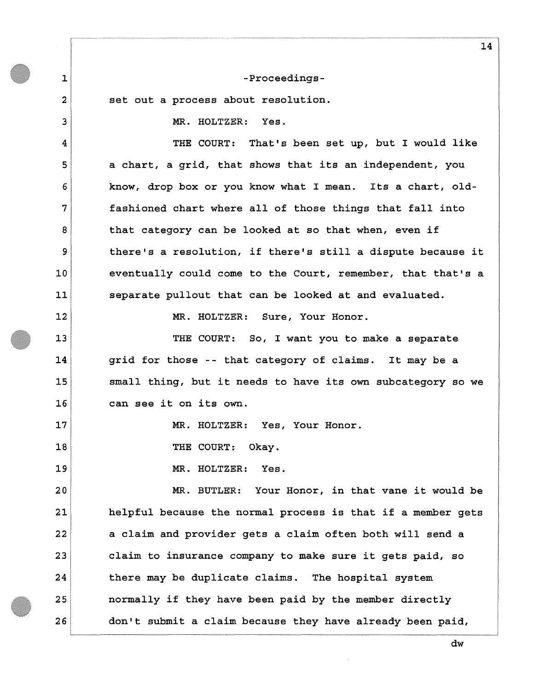**set out a process about resolution.** 

**1** 

**2** 

**3** 

**4** 

**5** 

**6** 

**7** 

**8** 

**9** 

**10** 

**11** 

**12** 

**13** 

**14** 

**15** 

**16** 

**17** 

**18** 

**19** 

**MR. HOLTZER: Yes.** 

**THE COURT: That's been set up, but I would like a chart, a grid, that shows that its an independent, you know, drop box or you know what I mean. Its a chart, oldfashioned chart where all of those things that fall into that category can be looked at so that when, even if there's a resolution, if there's still a dispute because it eventually could come to the Court, remember, that that's a separate pullout that can be looked at and evaluated.** 

**MR. HOLTZER: Sure, Your Honor.** 

**THE COURT: So, I want you to make a separate grid for those -- that category of claims. It may be a small thing, but it needs to have its own subcategory so we can see it on its own.** 

**MR. HOLTZER: Yes, Your Honor.** 

**THE COURT: Okay.** 

**MR. HOLTZER: Yes.** 

**20 21 22 23 24 25 26 MR. BUTLER: Your Honor, in that vane it would be helpful because the normal process is that if a member gets a claim and provider gets a claim often both will send a claim to insurance company to make sure it gets paid, so there may be duplicate claims. The hospital system normally if they have been paid by the member directly don't submit a claim because they have already been paid,** 

**dw**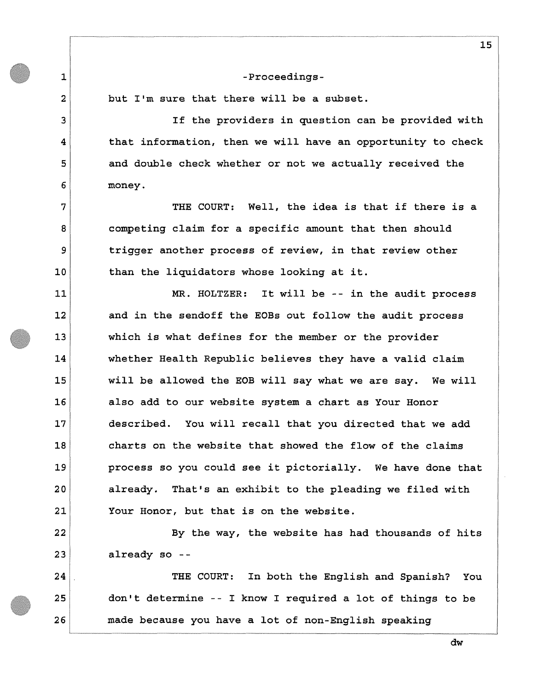**but I'm sure that there will be a subset.** 

**1** 

**2** 

**3** 

**4** 

**5** 

**6** 

**7** 

**8** 

**9** 

**10** 

**11** 

**12** 

**13** 

**14** 

**15** 

**16** 

**17** 

**18** 

**19** 

**20** 

**21** 

**22** 

**23** 

**24** 

**25** 

**26** 

**If the providers in question can be provided with that information, then we will have an opportunity to check and double check whether or not we actually received the money.** 

**THE COURT: Well, the idea is that if there is a competing claim for a specific amount that then should trigger another process of review, in that review other than the liquidators whose looking at it.** 

**MR. HOLTZER: It will be -- in the audit process and in the sendoff the EOBs out follow the audit process which is what defines for the member or the provider whether Health Republic believes they have a valid claim will be allowed the EOB will say what we are say. We will also add to our website system a chart as Your Honor described. You will recall that you directed that we add charts on the website that showed the flow of the claims process so you could see it pictorially. We have done that already. That's an exhibit to the pleading we filed with Your Honor, but that is on the website.** 

**By the way, the website has had thousands of hits already so -**

**THE COURT: In both the English and Spanish? You don't determine -- I know I required a lot of things to be made because you have a lot of non-English speaking** 

**15**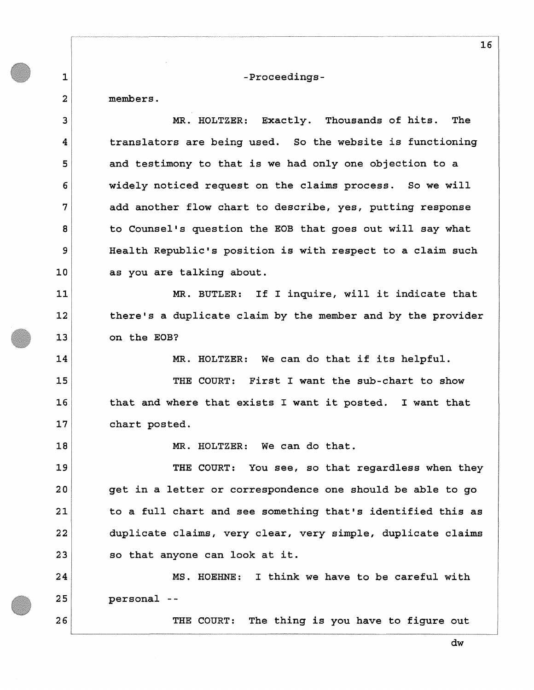**members.** 

**1** 

**2** 

**3 4 5 6 7 8 9 10 11 12 13 14 15 16 17 18 19 20 21 22 23 24 25 26 MR. HOLTZER: Exactly. Thousands of hits. The translators are being used. So the website is functioning and testimony to that is we had only one objection to a widely noticed request on the claims process. So we will add another flow chart to describe, yes, putting response to Counsel's question the EOB that goes out will say what Health Republic's position is with respect to a claim such as you are talking about. MR. BUTLER: If I inquire, will it indicate that there's a duplicate claim by the member and by the provider on the EOB? MR. HOLTZER: We can do that if its helpful. THE COURT: First I want the sub-chart to show that and where that exists I want it posted. I want that chart posted. MR. HOLTZER: We can do that. THE COURT: You see, so that regardless when they get in a letter or correspondence one should be able to go to a full chart and see something that's identified this as duplicate claims, very clear, very simple, duplicate claims so that anyone can look at it. MS. HOEHNE: I think we have to be careful with personal - THE COURT: The thing is you have to figure out** 

**16**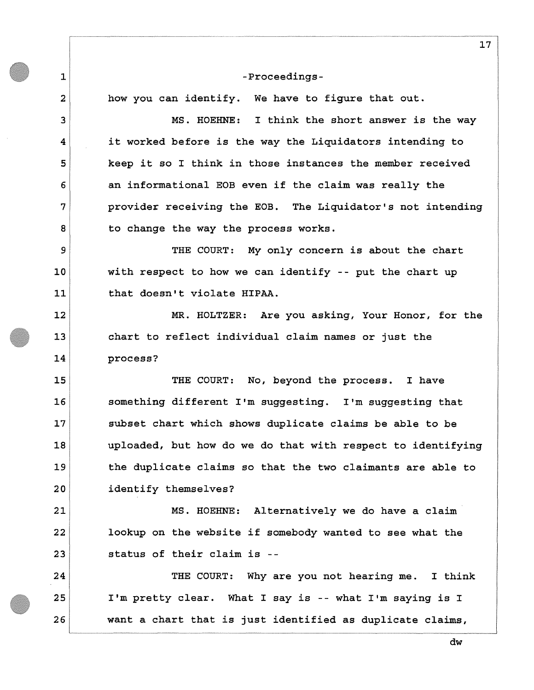**how you can identify. We have to figure that out.** 

**1** 

**2** 

**3** 

**4** 

**5** 

**6** 

**7** 

**8** 

**9** 

**10** 

**11** 

**12** 

**13** 

**14** 

**15** 

**16** 

**17** 

**18** 

**19** 

**20** 

**21** 

**22** 

**23** 

**24** 

**25** 

**26** 

**MS. HOEHNE: I think the short answer is the way it worked before is the way the Liquidators intending to keep it so I think in those instances the member received an informational EOB even if the claim was really the provider receiving the EOB. The Liquidator's not intending to change the way the process works.** 

**THE COURT: My only concern is about the chart with respect to how we can identify -- put the chart up that doesn't violate HIPAA.** 

**MR. HOLTZER: Are you asking, Your Honor, for the chart to reflect individual claim names or just the process?** 

**THE COURT: No, beyond the process. I have something different I'm suggesting. I'm suggesting that subset chart which shows duplicate claims be able to be uploaded, but how do we do that with respect to identifying the duplicate claims so that the two claimants are able to identify themselves?** 

**MS. HOEHNE: Alternatively we do have a claim lookup on the website if somebody wanted to see what the status of their claim is -**

**THE COURT: Why are you not hearing me. I think I'm pretty clear. What I say is -- what I'm saying is I want a chart that is just identified as duplicate claims,** 

**17**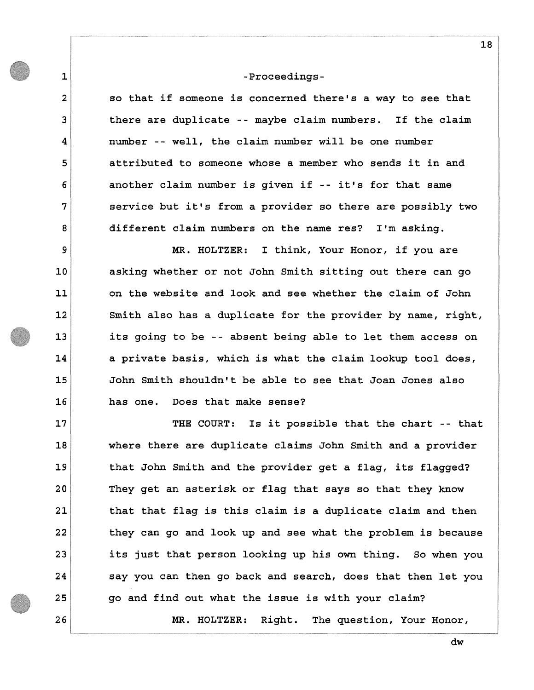**1** 

**2** 

**3** 

**4** 

**5** 

**6** 

**7** 

**8** 

**9** 

**10** 

**11** 

**12** 

**13** 

**14** 

**15** 

**16** 

**17** 

**18** 

**19** 

**20** 

**21** 

**22** 

**23** 

**24** 

**25** 

**26** 

# **-Proceedings-**

**so that if someone is concerned there's a way to see that there are duplicate -- maybe claim numbers. If the claim number -- well, the claim number will be one number attributed to someone whose a member who sends it in and another claim number is given if -- it's for that same service but it's from a provider so there are possibly two different claim numbers on the name res? I'm asking.** 

**MR. HOLTZER: I think, Your Honor, if you are asking whether or not John Smith sitting out there can go on the website and look and see whether the claim of John Smith also has a duplicate for the provider by name, right, its going to be -- absent being able to let them access on a private basis, which is what the claim lookup tool does, John Smith shouldn't be able to see that Joan Jones also has one. Does that make sense?** 

**THE COURT: Is it possible that the chart -- that where there are duplicate claims John Smith and a provider that John Smith and the provider get a flag, its flagged? They get an asterisk or flag that says so that they know that that flag is this claim is a duplicate claim and then they can go and look up and see what the problem is because its just that person looking up his own thing. So when you say you can then go back and search, does that then let you go and find out what the issue is with your claim? MR. HOLTZER: Right. The question, Your Honor,** 

**18**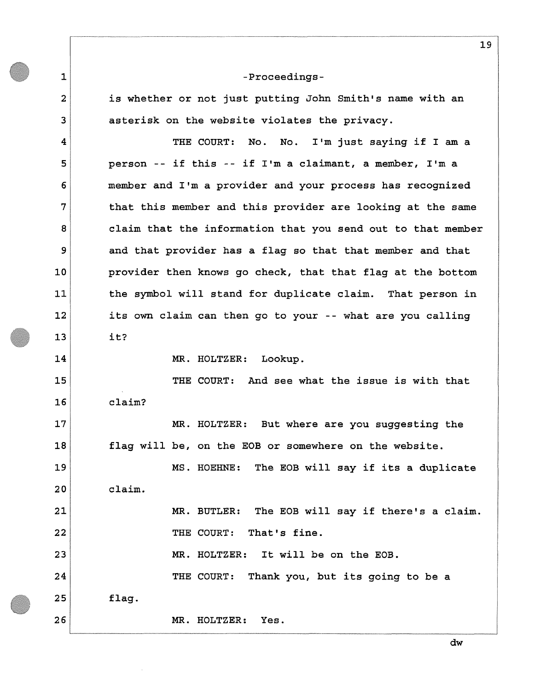**1** 

**2** 

**3** 

**4** 

**5** 

**6** 

**7** 

**8** 

**9** 

**10** 

**11** 

**12** 

**13** 

**14** 

**15** 

**16** 

**17** 

**18** 

**19** 

**20** 

**21** 

**22** 

**23** 

**is whether or not just putting John Smith's name with an asterisk on the website violates the privacy.** 

**THE COURT: No. No. I'm just saying if I am a person -- if this -- if I'm a claimant, a member, I'm a member and I'm a provider and your process has recognized that this member and this provider are looking at the same claim that the information that you send out to that member and that provider has a flag so that that member and that provider then knows go check, that that flag at the bottom the symbol will stand for duplicate claim. That person in its own claim can then go to your -- what are you calling it?** 

**MR. HOLTZER: Lookup.** 

**THE COURT: And see what the issue is with that claim?** 

**MR. HOLTZER: But where are you suggesting the flag will be, on the EOB or somewhere on the website.** 

**MS. HOEHNE: The EOB will say if its a duplicate claim.** 

> **MR. BUTLER: The EOB will say if there's a claim. THE COURT: That's fine.**

**MR. HOLTZER: It will be on the EOB.** 

**24 25 26 THE COURT: Thank you, but its going to be a flag. MR. HOLTZER: Yes.** 

**dw**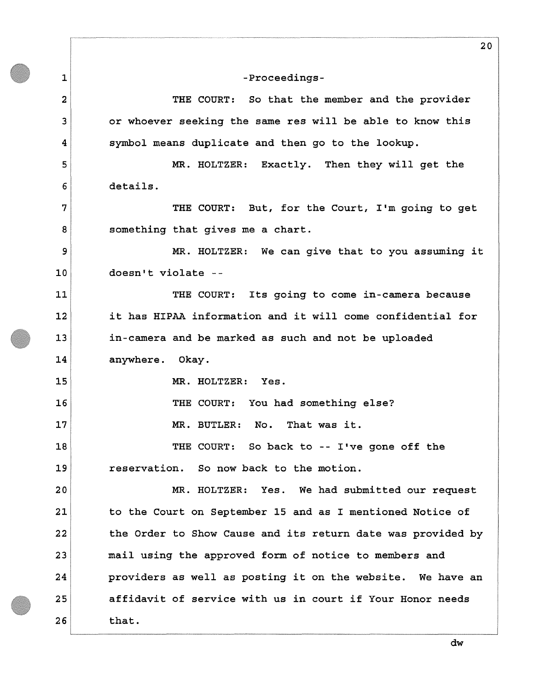**1 2 3 4 5 6 7 8 9 10 11 12 13 14 15 16 17 18 19 20 21 22 23 24 25 26 -Proceedings-THE COURT: So that the member and the provider or whoever seeking the same res will be able to know this symbol means duplicate and then go to the lookup. MR. HOLTZER: Exactly. Then they will get the details. THE COURT: But, for the Court, I'm going to get something that gives me a chart. MR. HOLTZER: We can give that to you assuming it doesn't violate - THE COURT: Its going to come in-camera because it has HIPAA information and it will come confidential for in-camera and be marked as such and not be uploaded anywhere. Okay. MR. HOLTZER: Yes. THE COURT: You had something else? MR. BUTLER: No. That was it. THE COURT: So back to -- I've gone off the reservation. So now back to the motion. MR. HOLTZER: Yes. We had submitted our request to the Court on September 15 and as I mentioned Notice of the Order to Show Cause and its return date was provided by mail using the approved form of notice to members and providers as well as posting it on the website. We have an affidavit of service with us in court if Your Honor needs that.** 

**dw**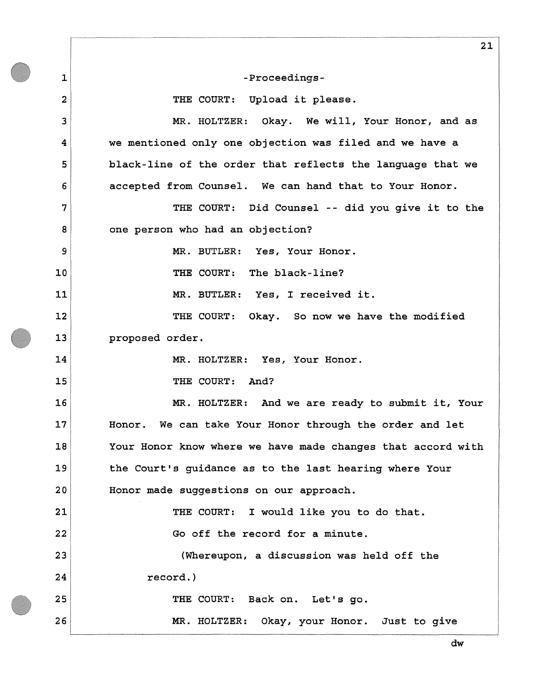**1 2 3 4 5 6 7 8 9 10 11 12 13 14 15 16 17 18 19 20 21 22 23 24 25 26 21 -Proceedings-THE COURT: Upload it please. MR. HOLTZER: Okay. We will, Your Honor, and as we mentioned only one objection was filed and we have a black-line of the order that reflects the language that we accepted from Counsel. We can hand that to Your Honor. THE COURT: Did Counsel -- did you give it to the one person who had an objection? MR. BUTLER: Yes, Your Honor. THE COURT: The black-line? MR. BUTLER: Yes, I received it. THE COURT: Okay. So now we have the modified proposed order. MR. HOLTZER: Yes, Your Honor. THE COURT: And? MR. HOLTZER: And we are ready to submit it, Your Honor. We can take Your Honor through the order and let Your Honor know where we have made changes that accord with the Court's guidance as to the last hearing where Your Honor made suggestions on our approach. THE COURT: I would like you to do that. Go off the record for a minute. (Whereupon, a discussion was held off the record.) THE COURT: Back on. Let's go. MR. HOLTZER: Okay, your Honor. Just to give**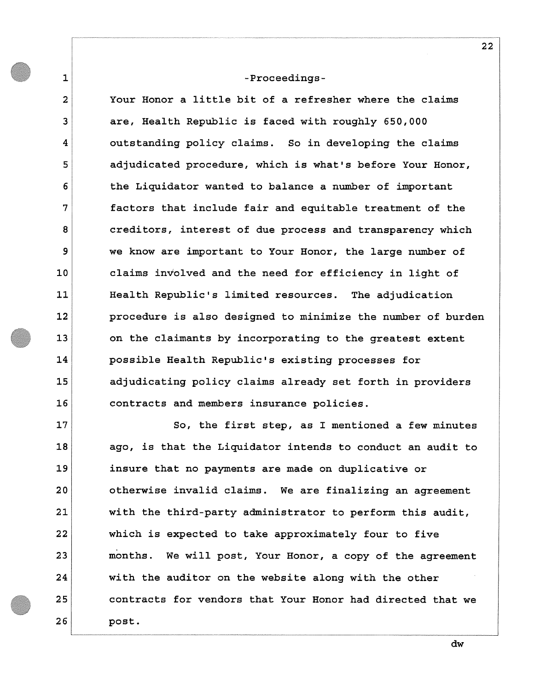**1** 

**2** 

**3** 

**4** 

**5** 

**6** 

**7** 

**8** 

**9** 

**10** 

**11** 

**12** 

**13** 

**14** 

**15** 

**16** 

**23** 

**24** 

**25** 

**26** 

**Your Honor a little bit of a refresher where the claims are, Health Republic is faced with roughly 650,000 outstanding policy claims. So in developing the claims adjudicated procedure, which is what's before Your Honor, the Liquidator wanted to balance a number of important factors that include fair and equitable treatment of the creditors, interest of due process and transparency which we know are important to Your Honor, the large number of claims involved and the need for efficiency in light of Health Republic's limited resources. The adjudication procedure is also designed to minimize the number of burden on the claimants by incorporating to the greatest extent possible Health Republic's existing processes for adjudicating policy claims already set forth in providers contracts and members insurance policies.** 

**17 18 19 20 21 22 So, the first step, as I mentioned a few minutes ago, is that the Liquidator intends to conduct an audit to insure that no payments are made on duplicative or otherwise invalid claims. We are finalizing an agreement with the third-party administrator to perform this audit, which is expected to take approximately four to five months. We will post. Your Honor, a copy of the agreement with the auditor on the website along with the other contracts for vendors that Your Honor had directed that we post.**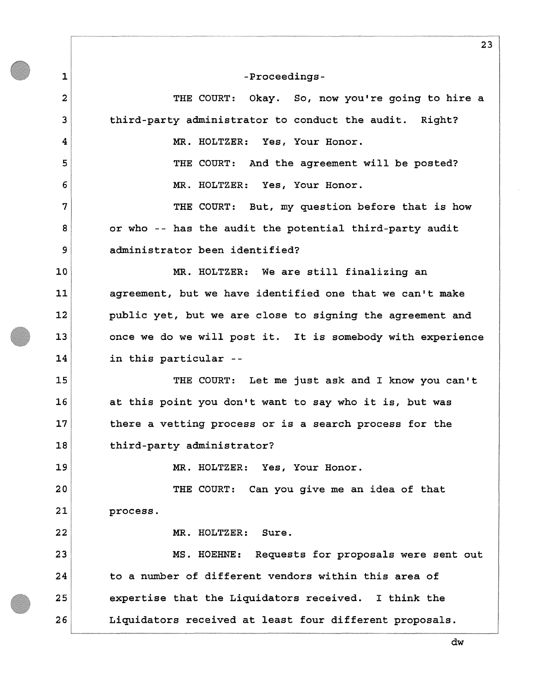**THE COURT: Okay. So, now you're going to hire a third-party administrator to conduct the audit. Right?** 

**MR. HOLTZER: Yes, Your Honor.** 

**1** 

**2** 

**3** 

**4** 

**5** 

**6** 

**7** 

**8** 

**9** 

**10** 

**11** 

**12** 

**13** 

**14** 

**15** 

**16** 

**17** 

**18** 

**19** 

**20** 

**21** 

**22** 

**THE COURT: And the agreement will be posted? MR. HOLTZER: Yes, Your Honor.** 

**THE COURT: But, my question before that is how or who -- has the audit the potential third-party audit administrator been identified?** 

**MR. HOLTZER: We are still finalizing an agreement, but we have identified one that we can't make public yet, but we are close to signing the agreement and once we do we will post it. It is somebody with experience in this particular -**

**THE COURT: Let me just ask and I know you can't at this point you don't want to say who it is, but was there a vetting process or is a search process for the third-party administrator?** 

**MR. HOLTZER: Yes, Your Honor.** 

**THE COURT: Can you give me an idea of that process.** 

**MR. HOLTZER: Sure.** 

**23 24 25 26 MS. HOEHNE: Requests for proposals were sent out to a number of different vendors within this area of expertise that the Liquidators received. I think the Liquidators received at least four different proposals.** 

**23**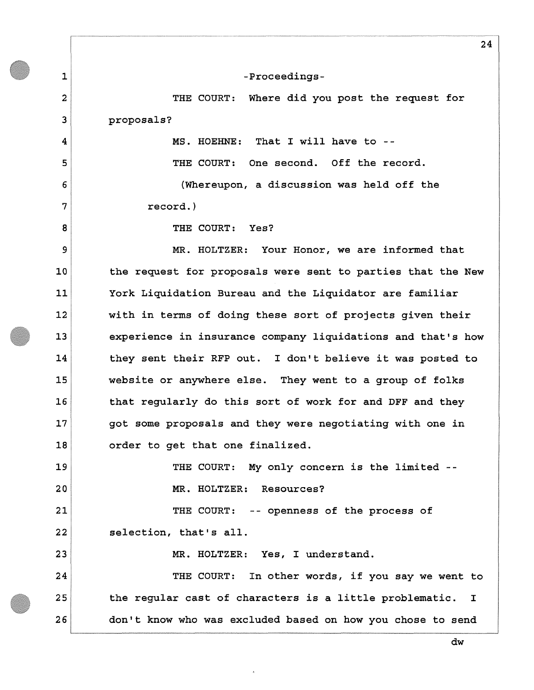**1 2 3 4 5 6 7 8 9 10 11 12 13 14 15 16 17 18 19 20 21 22 23 24 25 26 -Proceedings-THE COURT: Where did you post the request for proposals? MS. HOEHNE: That I will have to -- THE COURT: One second. Off the record. (Whereupon, a discussion was held off the record.) THE COURT: Yes? MR. HOLTZER: Your Honor, we are informed that the request for proposals were sent to parties that the New York Liquidation Bureau and the Liquidator are familiar with in terms of doing these sort of projects given their experience in insurance company liquidations and that's how they sent their RFP out. I don't believe it was posted to website or anywhere else. They went to a group of folks that regularly do this sort of work for and DFF and they got some proposals and they were negotiating with one in order to get that one finalized. THE COURT: My only concern is the limited - MR. HOLTZER: Resources? THE COURT: -- openness of the process of selection, that's all. MR. HOLTZER: Yes, I understand. THE COURT: In other words, if you say we went to the regular cast of characters is a little problematic. I don't know who was excluded based on how you chose to send** 

**24**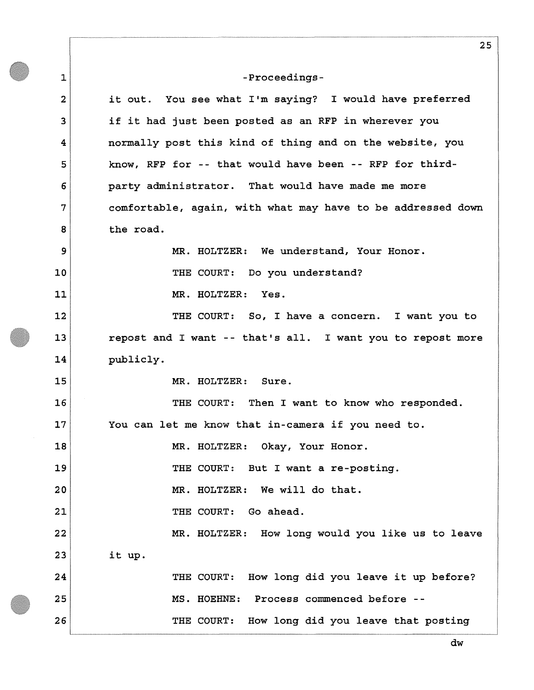**1 2 3 4 5 6 7 8 9 10 11 12 13 14 15 16 17 18 19 20 21 22 23 24 25 26 25 -Proceedingsit out. You see what I'm saying? I would have preferred if it had just been posted as an RFP in wherever you normally post this kind of thing and on the website, you know, RFP for -- that would have been -- RFP for thirdparty administrator. That would have made me more comfortable, again, with what may have to be addressed down the road. MR. HOLTZER: We understand, Your Honor. THE COURT: Do you understand? MR. HOLTZER: Yes. THE COURT: So, I have a concern. I want you to repost and I want -- that's all. I want you to repost more publicly. MR. HOLTZER: Sure. THE COURT: Then I want to know who responded. You can let me know that in-camera if you need to. MR. HOLTZER: Okay, Your Honor. THE COURT: But I want a re-posting. MR. HOLTZER: We will do that. THE COURT: Go ahead. MR. HOLTZER: How long would you like us to leave it up. THE COURT: How long did you leave it up before? MS. HOEHNE: Process commenced before - THE COURT: How long did you leave that posting**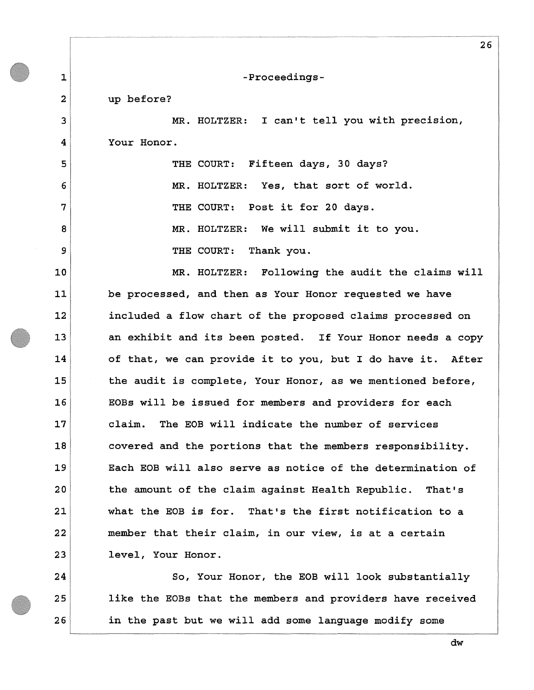**1 2 3 4 5 6 7 8 9 10 11 12 13 14 15 16 17 18 19 20 21 22 23 24 25 26 -Proceedingsup before? MR. HOLTZER: I can't tell you with precision, Your Honor. THE COURT: Fifteen days, 30 days? MR. HOLTZER: Yes, that sort of world. THE COURT: Post it for 20 days. MR. HOLTZER: We will submit it to you. THE COURT: Thank you. MR. HOLTZER: Following the audit the claims will be processed, and then as Your Honor requested we have included a flow chart of the proposed claims processed on an exhibit and its been posted. If Your Honor needs a copy of that, we can provide it to you, but I do have it. After the audit is complete, Your Honor, as we mentioned before, EOBs will be issued for members and providers for each claim. The EOB will indicate the number of services covered and the portions that the members responsibility. Each EOB will also serve as notice of the determination of the amount of the claim against Health Republic. That's what the EOB is for. That's the first notification to a member that their claim, in our view, is at a certain level, Your Honor. So, Your Honor, the EOB will look substantially like the EOBs that the members and providers have received in the past but we will add some language modify some** 

**dw**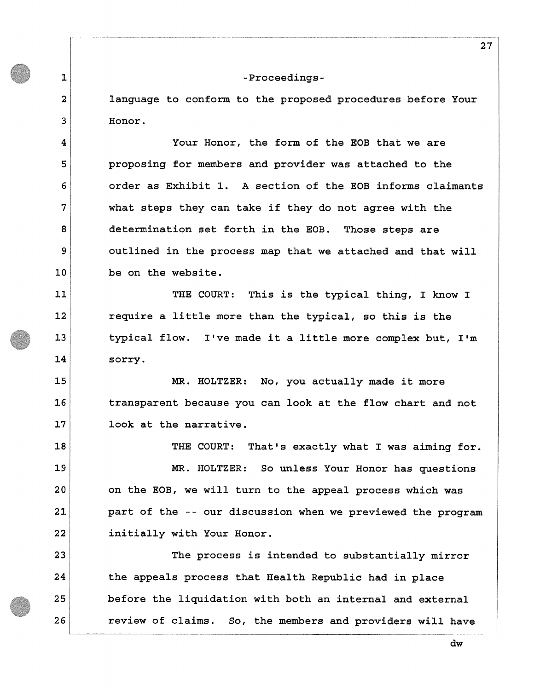**1** 

**2** 

**3** 

**4** 

**5** 

**6** 

**7** 

**8** 

**9** 

**10** 

**11** 

**12** 

**13** 

**14** 

**15** 

**16** 

**17** 

**language to conform to the proposed procedures before Your Honor.** 

**Your Honor, the form of the EOB that we are proposing for members and provider was attached to the order as Exhibit 1. A section of the EOB informs claimants what steps they can take if they do not agree with the determination set forth in the EOB. Those steps are outlined in the process map that we attached and that will be on the website.** 

**THE COURT: This is the typical thing, I know I require a little more than the typical, so this is the typical flow. I've made it a little more complex but, I'm sorry.** 

**MR. HOLTZER: No, you actually made it more transparent because you can look at the flow chart and not look at the narrative.** 

**18 19 20 21 22 THE COURT: That's exactly what I was aiming for. MR. HOLTZER: So unless Your Honor has questions on the EOB, we will turn to the appeal process which was part of the -- our discussion when we previewed the program initially with Your Honor.** 

**23 24 25 26 The process is intended to substantially mirror the appeals process that Health Republic had in place before the liquidation with both an internal and external review of claims. So, the members and providers will have**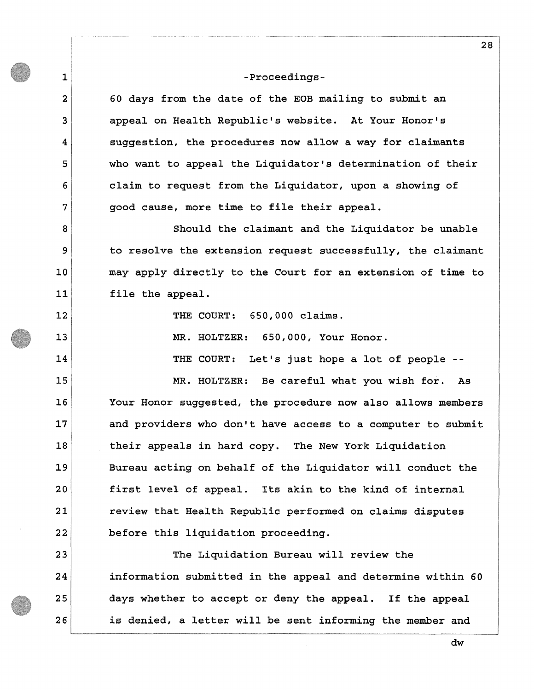**1** 

**2** 

**3** 

**4** 

**5** 

**6** 

**7** 

**8** 

**9** 

**10** 

**11** 

**12** 

**13** 

**14** 

**15** 

**16** 

**17** 

**18** 

**19** 

**20** 

**21** 

**22** 

**23** 

**24** 

**25** 

**26** 

**60 days from the date of the EOB mailing to submit an appeal on Health Republic's website. At Your Honor's suggestion, the procedures now allow a way for claimants who want to appeal the Liquidator's determination of their claim to request from the Liquidator, upon a showing of good cause, more time to file their appeal.** 

**Should the claimant and the Liquidator be unable to resolve the extension request successfully, the claimant may apply directly to the Court for an extension of time to file the appeal.** 

**THE COURT: 650,000 claims.** 

**MR. HOLTZER: 650,000, Your Honor.** 

**THE COURT: Let's just hope a lot of people -**

**MR. HOLTZER: Be careful what you wish for. As Your Honor suggested, the procedure now also allows members and providers who don't have access to a computer to submit their appeals in hard copy. The New York Liquidation Bureau acting on behalf of the Liquidator will conduct the first level of appeal. Its akin to the kind of internal review that Health Republic performed on claims disputes before this liquidation proceeding.** 

**The Liquidation Bureau will review the information submitted in the appeal and determine within 60 days whether to accept or deny the appeal. If the appeal is denied, a letter will be sent informing the member and** 

**28**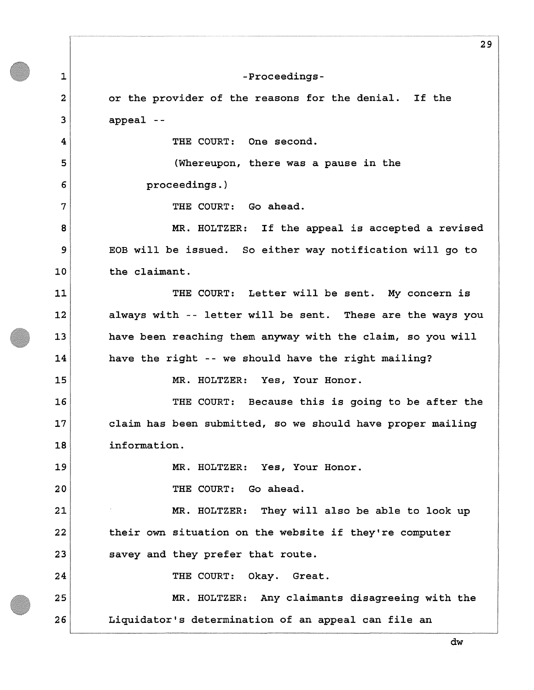**1 2 3 4 5 6 7 8 9 10 11 12 13 14 15 16 17 18 19 20 21 22 23 24 25 26 29 -Proceedingsor the provider of the reasons for the denial. If the appeal -- THE COURT: One second. (Whereupon, there was a pause in the proceedings.) THE COURT: Go ahead. MR. HOLTZER: If the appeal is accepted a revised EOB will be issued. So either way notification will go to the claimant. THE COURT: Letter will be sent. My concern is always with -- letter will be sent. These are the ways you have been reaching them anyway with the claim, so you will have the right --we should have the right mailing? MR. HOLTZER: Yes, Your Honor. THE COURT: Because this is going to be after the claim has been submitted, so we should have proper mailing information. MR. HOLTZER: Yes, Your Honor. THE COURT: Go ahead. MR. HOLTZER: They will also be able to look up their own situation on the website if they're computer savey and they prefer that route. THE COURT: Okay. Great. MR. HOLTZER: Any claimants disagreeing with the Liquidator's determination of an appeal can file an**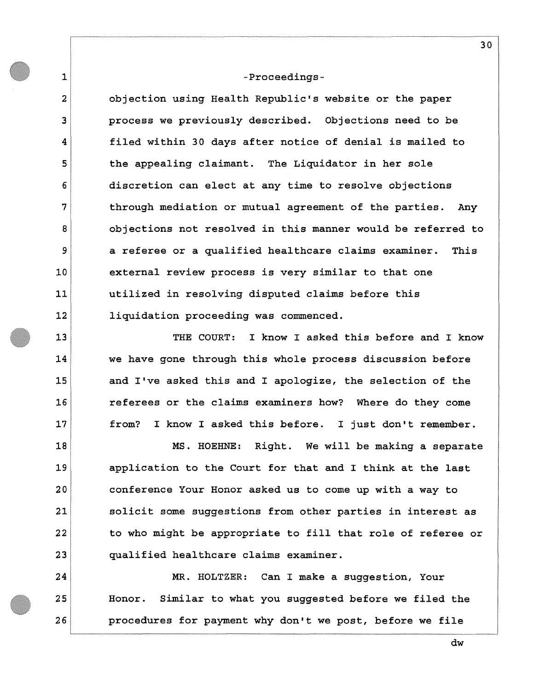**1** 

**2** 

**3** 

**4** 

**5** 

**6** 

**7** 

**8** 

**9** 

**10** 

**11** 

**12** 

**13** 

**14** 

**15** 

**16** 

**17** 

**18** 

**19** 

**20** 

**21** 

**22** 

**23** 

**24** 

**25** 

**26** 

**objection using Health Republic's website or the paper process we previously described. Objections need to be filed within 30 days after notice of denial is mailed to the appealing claimant. The Liquidator in her sole discretion can elect at any time to resolve objections through mediation or mutual agreement of the parties. Any objections not resolved in this manner would be referred to a referee or a qualified healthcare claims examiner. This external review process is very similar to that one utilized in resolving disputed claims before this liquidation proceeding was commenced.** 

**THE COURT: I know I asked this before and I know we have gone through this whole process discussion before and I've asked this and I apologize, the selection of the referees or the claims examiners how? Where do they come from? I know I asked this before. I just don't remember.** 

**MS. HOEHNE: Right. We will be making a separate application to the Court for that and I think at the last conference Your Honor asked us to come up with a way to solicit some suggestions from other parties in interest as to who might be appropriate to fill that role of referee or qualified healthcare claims examiner.** 

**MR. HOLTZER: Can I make a suggestion, Your Honor. Similar to what you suggested before we filed the procedures for payment why don't we post, before we file**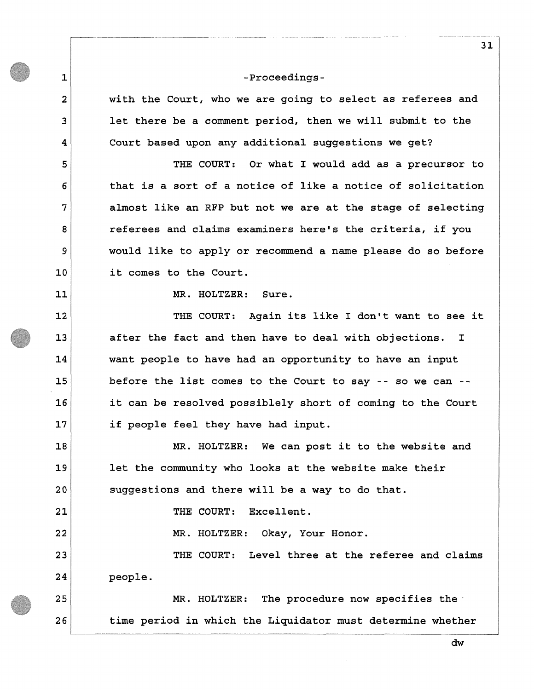**with the Court, who we are going to select as referees and let there be a comment period, then we will submit to the Court based upon any additional suggestions we get?** 

**THE COURT: Or what I would add as a precursor to that is a sort of a notice of like a notice of solicitation almost like an RFP but not we are at the stage of selecting referees and claims examiners here's the criteria, if you would like to apply or recommend a name please do so before it comes to the Court.** 

**MR. HOLTZER: Sure.** 

**1** 

**2** 

**3** 

**4** 

**5** 

**6** 

**7** 

**8** 

**9** 

**10** 

**11** 

**12** 

**13** 

**14** 

**15** 

**16** 

**17** 

**18** 

**19** 

**20** 

**21** 

**22** 

**23** 

**24** 

**25** 

**26** 

**THE COURT: Again its like I don't want to see it after the fact and then have to deal with objections. I want people to have had an opportunity to have an input before the list comes to the Court to say -- so we can it can be resolved possiblely short of coming to the Court if people feel they have had input.** 

**MR. HOLTZER: We can post it to the website and let the community who looks at the website make their suggestions and there will be a way to do that.** 

**THE COURT: Excellent.** 

**MR. HOLTZER: Okay, Your Honor.** 

**THE COURT: Level three at the referee and claims people.** 

**MR. HOLTZER: The procedure now specifies the time period in which the Liquidator must determine whether** 

**31**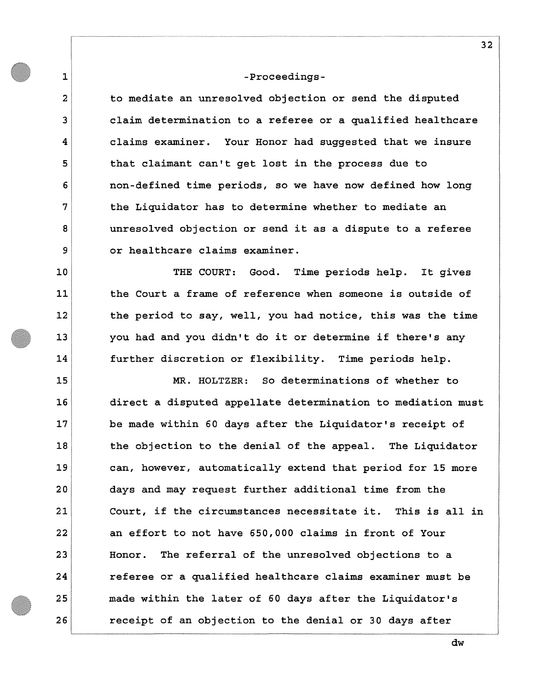**1** 

**2** 

**3** 

**4** 

**5** 

**6** 

**7** 

**8** 

**9** 

**10** 

**11** 

**12** 

**13** 

**14** 

**to mediate an unresolved objection or send the disputed claim determination to a referee or a qualified healthcare claims examiner. Your Honor had suggested that we insure that claimant can't get lost in the process due to non-defined time periods, so we have now defined how long the Liquidator has to determine whether to mediate an unresolved objection or send it as a dispute to a referee or healthcare claims examiner.** 

**THE COURT: Good. Time periods help. It gives the Court a frame of reference when someone is outside of the period to say, well, you had notice, this was the time you had and you didn't do it or determine if there's any further discretion or flexibility. Time periods help.** 

**15 16 17 18 19 20 21 22 23 24 25 26 MR. HOLTZER: So determinations of whether to direct a disputed appellate determination to mediation must be made within 60 days after the Liquidator's receipt of the objection to the denial of the appeal. The Liquidator can, however, automatically extend that period for 15 more days and may request further additional time from the Court, if the circumstances necessitate it. This is all in an effort to not have 650,000 claims in front of Your Honor. The referral of the unresolved objections to a referee or a qualified healthcare claims examiner must be made within the later of 60 days after the Liquidator's receipt of an objection to the denial or 30 days after**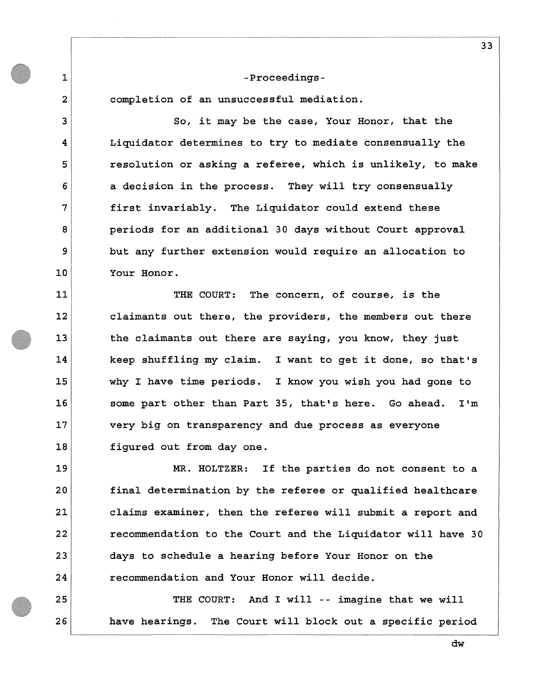**completion of an unsuccessful mediation.** 

**1** 

**2** 

**3** 

**4** 

**5** 

**6** 

**7** 

**8** 

**9** 

**10** 

**11** 

**12** 

**13** 

**14** 

**15** 

*16* 

*17* 

**18** 

**19** 

**20** 

**21** 

**22** 

**23** 

**24** 

**25** 

**26** 

**So, it may be the case, Your Honor, that the Liquidator determines to try to mediate consensually the resolution or asking a referee, which is unlikely, to make a decision in the process. They will try consensually first invariably. The Liquidator could extend these periods for an additional 30 days without Court approval but any further extension would require an allocation to Your Honor.** 

**THE COURT: The concern, of course, is the claimants out there, the providers, the members out there the claimants out there are saying, you know, they just keep shuffling my claim. I want to get it done, so that's why I have time periods. I know you wish you had gone to some part other than Part 35, that's here. Go ahead. I'm very big on transparency and due process as everyone figured out from day one.** 

**MR. HOLTZER: If the parties do not consent to a final determination by the referee or qualified healthcare claims examiner, then the referee will submit a report and recommendation to the Court and the Liquidator will have 30 days to schedule a hearing before Your Honor on the recommendation and Your Honor will decide.** 

**THE COURT: And I will -- imagine that we will have hearings. The Court will block out a specific period**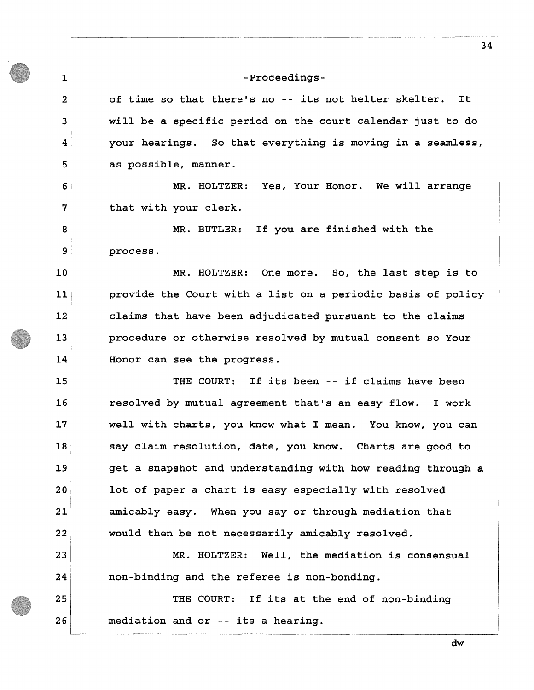**1** 

**2** 

**3** 

**4** 

**5** 

**6** 

**7** 

**8** 

**9** 

**10** 

**11** 

**12** 

**13** 

**14** 

**18** 

**20** 

**22** 

**23** 

**24** 

**25** 

**26** 

**of time so that there's no -- its not helter skelter. It will be a specific period on the court calendar just to do your hearings. So that everything is moving in a seamless, as possible, manner.** 

**MR. HOLTZER: Yes, Your Honor. We will arrange that with your clerk.** 

**MR. BUTLER: If you are finished with the process.** 

**MR. HOLTZER: One more. So, the last step is to provide the Court with a list on a periodic basis of policy claims that have been adjudicated pursuant to the claims procedure or otherwise resolved by mutual consent so Your Honor can see the progress.** 

**15 16 17 19 21 THE COURT: If its been -- if claims have been resolved by mutual agreement that's an easy flow. I work well with charts, you know what I mean. You know, you can say claim resolution, date, you know. Charts are good to get a snapshot and understanding with how reading through a lot of paper a chart is easy especially with resolved amicably easy. When you say or through mediation that would then be not necessarily amicably resolved.** 

**MR. HOLTZER: Well, the mediation is consensual non-binding and the referee is non-bonding.** 

**THE COURT: If its at the end of non-binding mediation and or -- its a hearing.**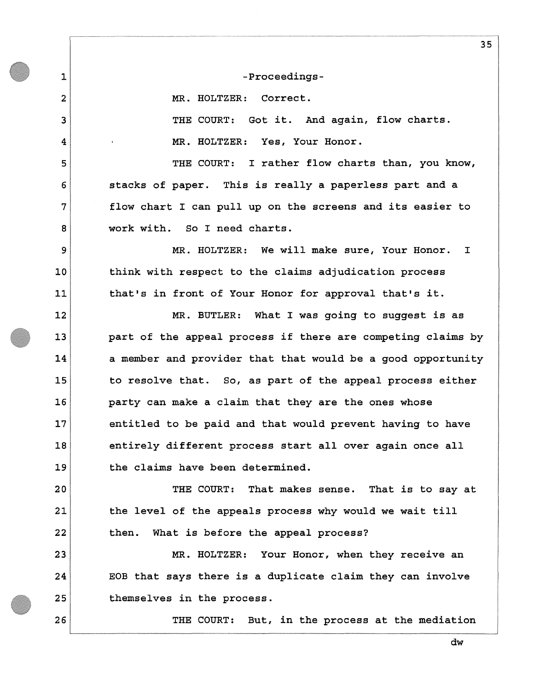**1** 

**2** 

**3** 

**4** 

**5** 

**6** 

**7** 

**8** 

**9** 

**10** 

**11** 

**12** 

**13** 

**14** 

**15** 

**16** 

**17** 

**18** 

**19** 

**20** 

**21** 

**22** 

**26** 

**-Proceedings-**

**MR. HOLTZER: Correct.** 

**THE COURT: Got it. And again, flow charts. • MR. HOLTZER: Yes, Your Honor.** 

**THE COURT: I rather flow charts than, you know, stacks of paper. This is really a paperless part and a flow chart I can pull up on the screens and its easier to work with. So I need charts.** 

**MR. HOLTZER: We will make sure, Your Honor. I think with respect to the claims adjudication process that's in front of Your Honor for approval that's it.** 

**MR. BUTLER: What I was going to suggest is as part of the appeal process if there are competing claims by a member and provider that that would be a good opportunity to resolve that. So, as part of the appeal process either party can make a claim that they are the ones whose entitled to be paid and that would prevent having to have entirely different process start all over again once all the claims have been determined.** 

**THE COURT: That makes sense. That is to say at the level of the appeals process why would we wait till then. What is before the appeal process?** 

**23 24 25 MR. HOLTZER: Your Honor, when they receive an EOB that says there is a duplicate claim they can involve themselves in the process.** 

**THE COURT: But, in the process at the mediation**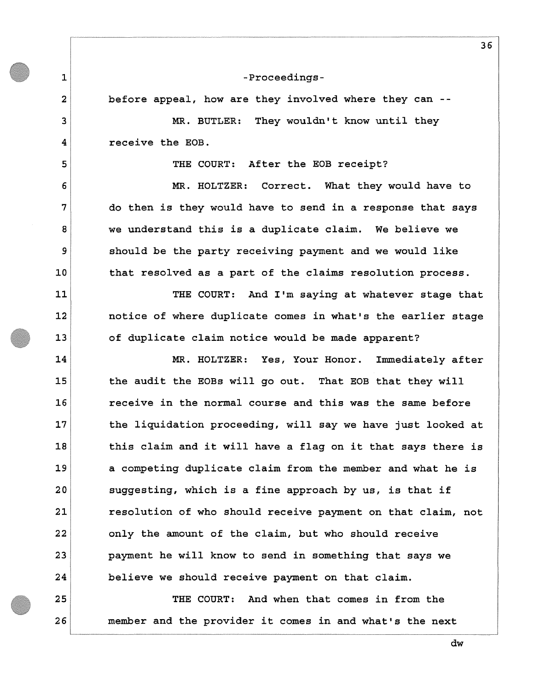**before appeal, how are they involved where they can -**

**1** 

**2** 

**3** 

**4** 

**5** 

**6** 

**7** 

**8** 

**9** 

**10** 

**11** 

**12** 

**13** 

**14** 

**15** 

**16** 

**17** 

**18** 

**19** 

**20** 

**21** 

**22** 

**23** 

**24** 

**25** 

**26** 

**MR. BUTLER: They wouldn't know until they receive the EOB.** 

**THE COURT: After the EOB receipt?** 

**MR. HOLTZER: Correct. What they would have to do then is they would have to send in a response that says we understand this is a duplicate claim. We believe we should be the party receiving payment and we would like that resolved as a part of the claims resolution process.** 

**THE COURT: And I'm saying at whatever stage that notice of where duplicate comes in what's the earlier stage of duplicate claim notice would be made apparent?** 

**MR. HOLTZER: Yes, Your Honor. Immediately after the audit the EOBs will go out. That EOB that they will receive in the normal course and this was the same before the liquidation proceeding, will say we have just looked at this claim and it will have a flag on it that says there is a competing duplicate claim from the member and what he is suggesting, which is a fine approach by us, is that if resolution of who should receive payment on that claim, not only the amount of the claim, but who should receive payment he will know to send in something that says we believe we should receive payment on that claim.** 

**THE COURT: And when that comes in from the member and the provider it comes in and what's the next**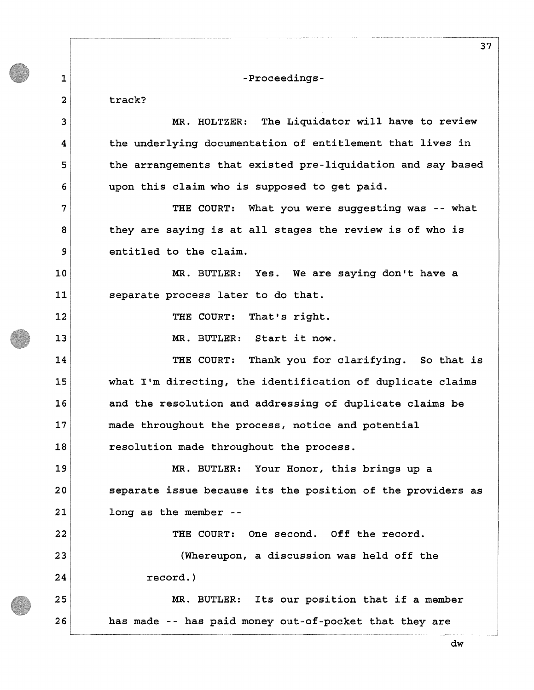**1 2 3 4 5 6 7 8 9 10 11 12 13 14 15 16 17 18 19 20 21 22 23 24 25 26 -Proceedingstrack? MR. HOLTZER: The Liquidator will have to review the underlying documentation of entitlement that lives in the arrangements that existed pre-liquidation and say based upon this claim who is supposed to get paid. THE COURT: What you were suggesting was -- what they are saying is at all stages the review is of who is entitled to the claim. MR. BUTLER: Yes. We are saying don't have a separate process later to do that. THE COURT: That's right. MR. BUTLER: Start it now. THE COURT: Thank you for clarifying. So that is what I'm directing, the identification of duplicate claims and the resolution and addressing of duplicate claims be made throughout the process, notice and potential resolution made throughout the process. MR. BUTLER: Your Honor, this brings up a separate issue because its the position of the providers as long as the member - THE COURT: One second. Off the record. (Whereupon, a discussion was held off the record.) MR. BUTLER: Its our position that if a member has made -- has paid money out-of-pocket that they are**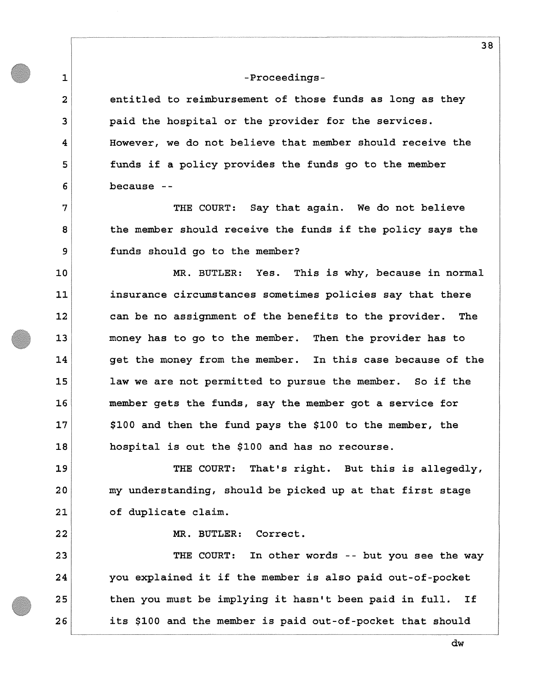**1** 

**2** 

**3** 

**4** 

**5** 

**6** 

**7** 

**8** 

**9** 

**10** 

**11** 

**12** 

**13** 

**14** 

**15** 

**16** 

**17** 

**18** 

**19** 

**20** 

**21** 

**22** 

**entitled to reimbursement of those funds as long as they paid the hospital or the provider for the services. However, we do not believe that member should receive the funds if a policy provides the funds go to the member because -**

**THE COURT: Say that again. We do not believe the member should receive the funds if the policy says the funds should go to the member?** 

**MR. BUTLER: Yes. This is why, because in normal insurance circumstances sometimes policies say that there can be no assignment of the benefits to the provider. The money has to go to the member. Then the provider has to get the money from the member. In this case because of the law we are not permitted to pursue the member. So if the member gets the funds, say the member got a service for \$100 and then the fund pays the \$100 to the member, the hospital is out the \$100 and has no recourse.** 

**THE COURT: That's right. But this is allegedly, my understanding, should be picked up at that first stage of duplicate claim.** 

**MR. BUTLER: Correct.** 

**23 24 25 26 THE COURT: In other words -- but you see the way you explained it if the member is also paid out-of-pocket then you must be implying it hasn't been paid in full. If its \$100 and the member is paid out-of-pocket that should**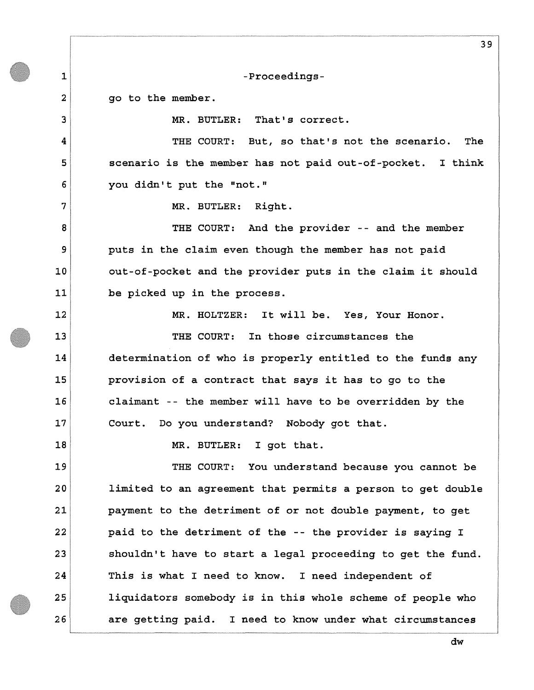**1** 

**2** 

**3** 

**4** 

**5** 

**6** 

**7** 

**8** 

**9** 

**10** 

**11** 

**12** 

**13** 

**14** 

**15** 

**16** 

**17** 

**18** 

**-Proceedings-**

**go to the member.** 

**MR. BUTLER: That's correct.** 

**THE COURT: But, so that's not the scenario. The scenario is the member has not paid out-of-pocket. I think you didn't put the "not."** 

**MR. BUTLER: Right.** 

**THE COURT: And the provider -- and the member puts in the claim even though the member has not paid out-of-pocket and the provider puts in the claim it should be picked up in the process.** 

**MR. HOLTZER: It will be. Yes, Your Honor.** 

**THE COURT: In those circumstances the determination of who is properly entitled to the funds any provision of a contract that says it has to go to the claimant -- the member will have to be overridden by the Court. Do you understand? Nobody got that.** 

**MR. BUTLER: I got that.** 

**19 20 21 22 23 24 25 26 THE COURT: You understand because you cannot be limited to an agreement that permits a person to get double payment to the detriment of or not double payment, to get paid to the detriment of the -- the provider is saying I shouldn't have to start a legal proceeding to get the fund. This is what I need to know. I need independent of liquidators somebody is in this whole scheme of people who are getting paid. I need to know under what circumstances** 

**dw**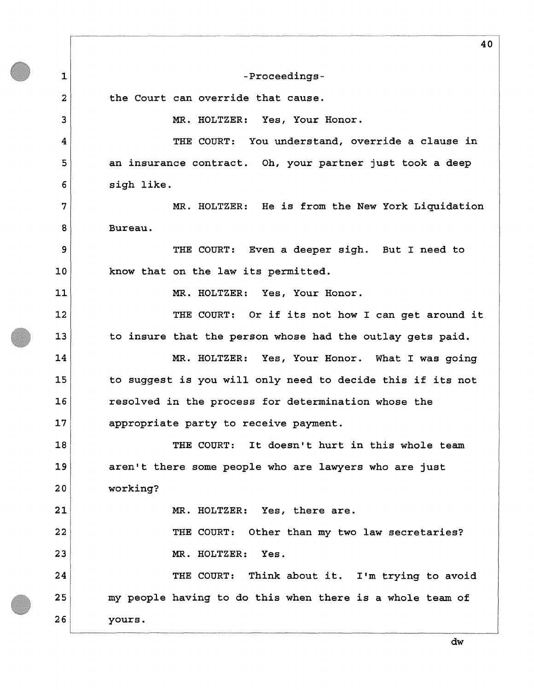**1 2 3 4 5 6 7 8 9 10 11 12 13 14 15 16 17 18 19 20 21 22 23 24 25 26 -Proceedingsthe Court can override that cause. MR. HOLTZER: Yes, Your Honor. THE COURT: You understand, override a clause in an insurance contract. Oh, your partner just took a deep sigh like. MR. HOLTZER: He is from the New York Liquidation Bureau. THE COURT: Even a deeper sigh. But I need to know that on the law its permitted. MR. HOLTZER: Yes, Your Honor. THE COURT: Or if its not how I can get around it to insure that the person whose had the outlay gets paid. MR. HOLTZER: Yes, Your Honor. What I was going to suggest is you will only need to decide this if its not resolved in the process for determination whose the appropriate party to receive payment. THE COURT: It doesn't hurt in this whole team aren't there some people who are lawyers who are just working? MR. HOLTZER: Yes, there are. THE COURT: Other than my two law secretaries? MR. HOLTZER: Yes. THE COURT: Think about it. I'm trying to avoid my people having to do this when there is a whole team of yours.**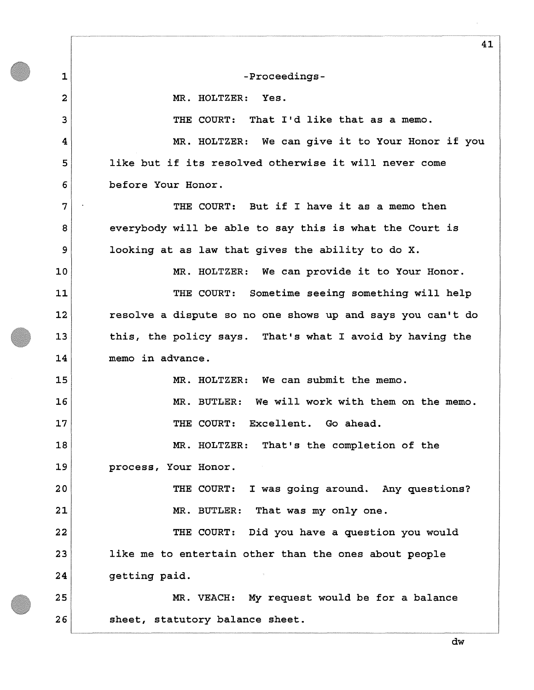**1** 

**2** 

**3** 

**4** 

**5** 

**6** 

**7** 

**8** 

**9** 

**10** 

**11** 

**12** 

**13** 

**14** 

**20** 

**21** 

**-Proceedings-**

**MR. HOLTZER: Yes.** 

**THE COURT: That I'd like that as a memo.** 

**MR. HOLTZER: We can give it to Your Honor if you like but if its resolved otherwise it will never come before Your Honor.** 

**THE COURT: But if I have it as a memo then everybody will be able to say this is what the Court is looking at as law that gives the ability to do X.** 

**MR. HOLTZER: We can provide it to Your Honor.** 

**THE COURT: Sometime seeing something will help resolve a dispute so no one shows up and says you can't do this, the policy says. That's what I avoid by having the memo in advance.** 

**15 16 17 18 19 MR. HOLTZER: We can submit the memo. MR. BUTLER: We will work with them on the memo. THE COURT: Excellent. Go ahead. MR. HOLTZER: That's the completion of the process, Your Honor.** 

> **THE COURT: I was going around. Any questions? MR. BUTLER: That was my only one.**

**22 23 24 THE COURT: Did you have a question you would like me to entertain other than the ones about people getting paid.** 

**25 26 MR. VEACH: My request would be for a balance sheet, statutory balance sheet.**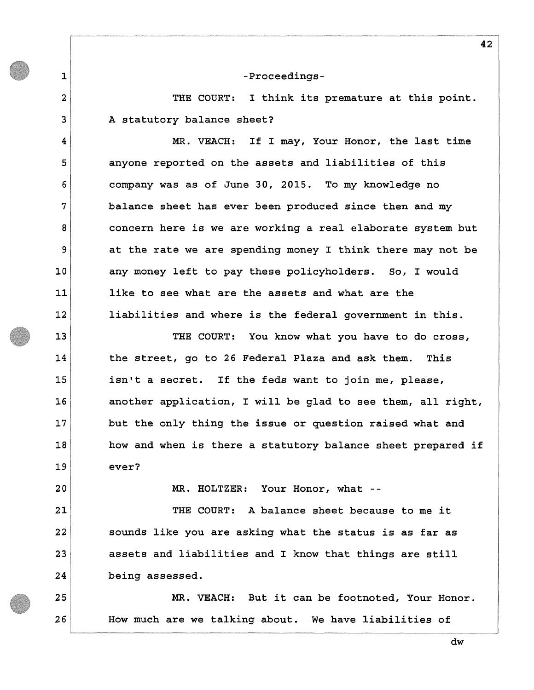**1** 

**2** 

**3** 

**4** 

**5** 

**6** 

**7** 

**8** 

**9** 

**10** 

**11** 

**12** 

**13** 

**14** 

**15** 

**16** 

**17** 

**18** 

**19** 

**20** 

**21** 

**22** 

**23** 

**24** 

**25** 

**26** 

**THE COURT: I think its premature at this point. A statutory balance sheet?** 

**MR. VEACH: If I may, Your Honor, the last time anyone reported on the assets and liabilities of this company was as of June 30, 2015. To my knowledge no balance sheet has ever been produced since then and my concern here is we are working a real elaborate system but at the rate we are spending money I think there may not be any money left to pay these policyholders. So, I would like to see what are the assets and what are the liabilities and where is the federal government in this.** 

**THE COURT: You know what you have to do cross, the street, go to 26 Federal Plaza and ask them. This isn't a secret. If the feds want to join me, please, another application, I will be glad to see them, all right, but the only thing the issue or question raised what and how and when is there a statutory balance sheet prepared if ever?** 

**MR. HOLTZER: Your Honor, what -**

**THE COURT: A balance sheet because to me it sounds like you are asking what the status is as far as assets and liabilities and I know that things are still being assessed.** 

**MR. VEACH: But it can be footnoted, Your Honor. How much are we talking about. We have liabilities of**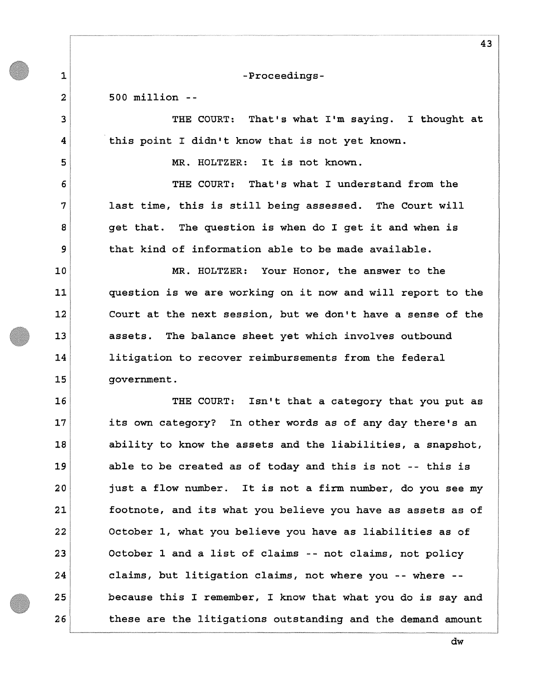**500 million -**

**1** 

**2** 

**3** 

**4** 

**5** 

**6** 

**7** 

**8** 

**9** 

**10** 

**11** 

**12** 

**13** 

**14** 

**15** 

**THE COURT: That's what I'm saying. I thought at this point I didn't know that is not yet known.** 

**MR. HOLTZER: It is not known.** 

**THE COURT: That's what I understand from the last time, this is still being assessed. The Court will get that. The question is when do I get it and when is that kind of information able to be made available.** 

**MR. HOLTZER: Your Honor, the answer to the question is we are working on it now and will report to the Court at the next session, but we don't have a sense of the assets. The balance sheet yet which involves outbound litigation to recover reimbursements from the federal government.** 

**16 17 18 19 20 21 22 23 24 25 26 THE COURT: Isn't that a category that you put as its own category? In other words as of any day there's an ability to know the assets and the liabilities, a snapshot, able to be created as of today and this is not -- this is just a flow number. It is not a firm number, do you see my footnote, and its what you believe you have as assets as of October 1, what you believe you have as liabilities as of October 1 and a list of claims -- not claims, not policy claims, but litigation claims, not where you -- where because this I remember, I know that what you do is say and these are the litigations outstanding and the demand amount**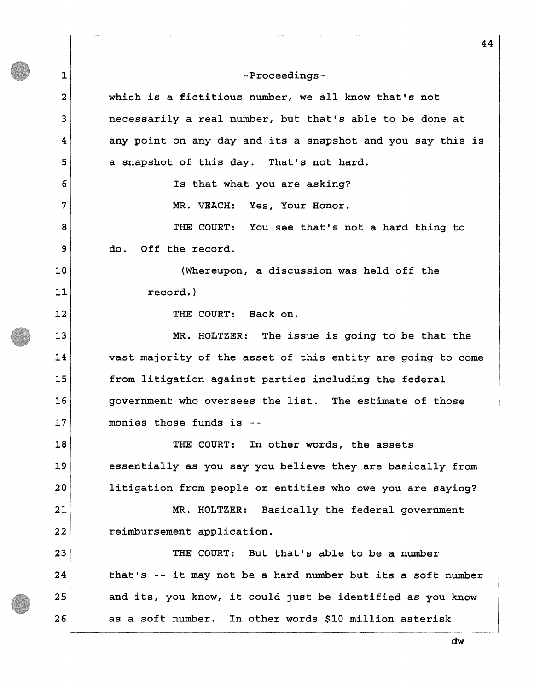**1 2 3 4 5 6 7 8 9 10 11 12 13 14 15 16 17 18 19 20 21 22 23 24 25 26 44 -Proceedingswhich is a fictitious number, we all know that's not necessarily a real number, but that's able to be done at any point on any day and its a snapshot and you say this is a snapshot of this day. That's not hard. Is that what you are asking? MR. VEACH: Yes, Your Honor. THE COURT: You see that's not a hard thing to do. Off the record. (Whereupon, a discussion was held off the record.) THE COURT: Back on. MR. HOLTZER: The issue is going to be that the vast majority of the asset of this entity are going to come from litigation against parties including the federal government who oversees the list. The estimate of those monies those funds is - THE COURT: In other words, the assets essentially as you say you believe they are basically from litigation from people or entities who owe you are saying? MR. HOLTZER: Basically the federal government reimbursement application. THE COURT: But that's able to be a number that's -- it may not be a hard number but its a soft number and its, you know, it could just be identified as you know as a soft number. In other words \$10 million asterisk**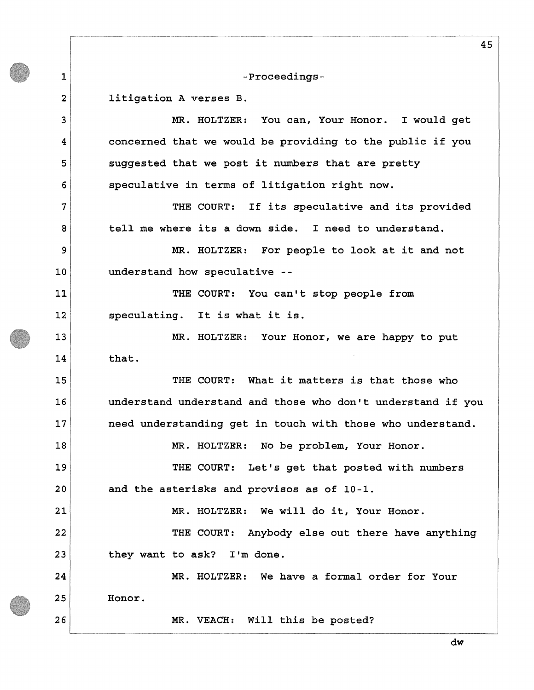**1** 

**2** 

**3** 

**4** 

**5** 

**6** 

**7** 

**8** 

**9** 

**10** 

**11** 

**12** 

**13** 

**14** 

**15** 

**16** 

**17** 

**18** 

**19** 

**20** 

**21** 

**22** 

**23** 

**26** 

### **-Proceedings-**

# **litigation A verses B.**

**MR. HOLTZER: You can, Your Honor. I would get concerned that we would be providing to the public if you suggested that we post it numbers that are pretty speculative in terms of litigation right now.** 

**THE COURT: If its speculative and its provided tell me where its a down side. I need to understand.** 

**MR. HOLTZER: For people to look at it and not understand how speculative -**

**THE COURT: You can't stop people from speculating. It is what it is.** 

**MR. HOLTZER: Your Honor, we are happy to put that.** 

**THE COURT: What it matters is that those who understand understand and those who don't understand if you need understanding get in touch with those who understand.** 

**MR. HOLTZER: No be problem, Your Honor.** 

**THE COURT: Let's get that posted with numbers and the asterisks and provisos as of 10-1.** 

**MR. HOLTZER: We will do it, Your Honor.** 

**THE COURT: Anybody else out there have anything they want to ask? I'm done.** 

**24 25 MR. HOLTZER: We have a formal order for Your Honor.** 

**MR. VEACH: Will this be posted?**